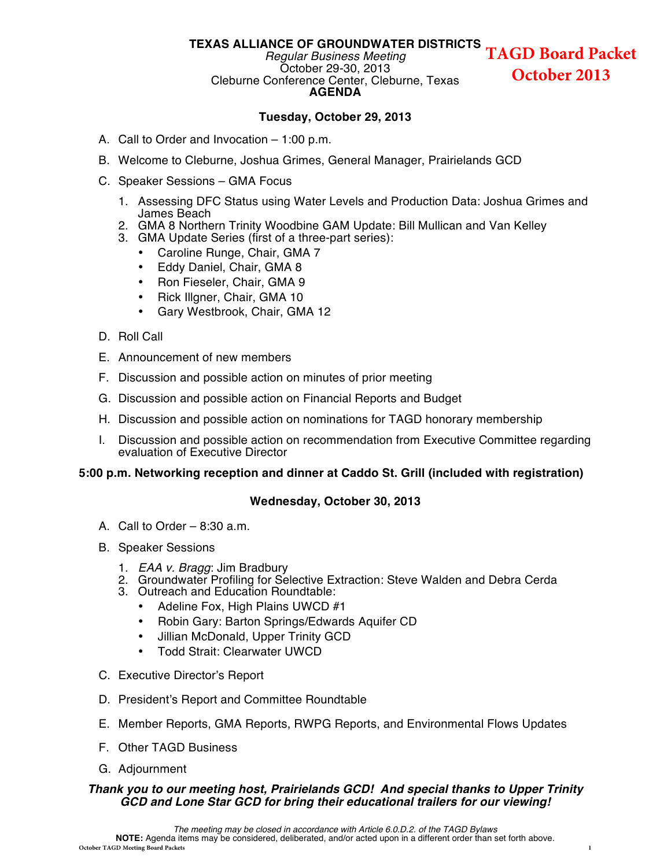#### **TEXAS ALLIANCE OF GROUNDWATER DISTRICTS TAGD Board Packet**

#### *Regular Business Meeting* October 29-30, 2013 Cleburne Conference Center, Cleburne, Texas **AGENDA**

**October 2013**

#### **Tuesday, October 29, 2013**

- A. Call to Order and Invocation 1:00 p.m.
- B. Welcome to Cleburne, Joshua Grimes, General Manager, Prairielands GCD
- C. Speaker Sessions GMA Focus
	- 1. Assessing DFC Status using Water Levels and Production Data: Joshua Grimes and James Beach
	- 2. GMA 8 Northern Trinity Woodbine GAM Update: Bill Mullican and Van Kelley
	- 3. GMA Update Series (first of a three-part series):
		- Caroline Runge, Chair, GMA 7
		- Eddy Daniel, Chair, GMA 8
		- Ron Fieseler, Chair, GMA 9
		- Rick Illgner, Chair, GMA 10
		- Gary Westbrook, Chair, GMA 12
- D. Roll Call
- E. Announcement of new members
- F. Discussion and possible action on minutes of prior meeting
- G. Discussion and possible action on Financial Reports and Budget
- H. Discussion and possible action on nominations for TAGD honorary membership
- I. Discussion and possible action on recommendation from Executive Committee regarding evaluation of Executive Director

#### **5:00 p.m. Networking reception and dinner at Caddo St. Grill (included with registration)**

#### **Wednesday, October 30, 2013**

- A. Call to Order  $-8:30$  a.m.
- B. Speaker Sessions
	- 1. *EAA v. Bragg*: Jim Bradbury
	- 2. Groundwater Profiling for Selective Extraction: Steve Walden and Debra Cerda
	- 3. Outreach and Education Roundtable:
		- Adeline Fox, High Plains UWCD #1
		- Robin Gary: Barton Springs/Edwards Aquifer CD
		- Jillian McDonald, Upper Trinity GCD
		- Todd Strait: Clearwater UWCD
- C. Executive Director's Report
- D. President's Report and Committee Roundtable
- E. Member Reports, GMA Reports, RWPG Reports, and Environmental Flows Updates
- F. Other TAGD Business
- G. Adjournment

#### *Thank you to our meeting host, Prairielands GCD! And special thanks to Upper Trinity GCD and Lone Star GCD for bring their educational trailers for our viewing!*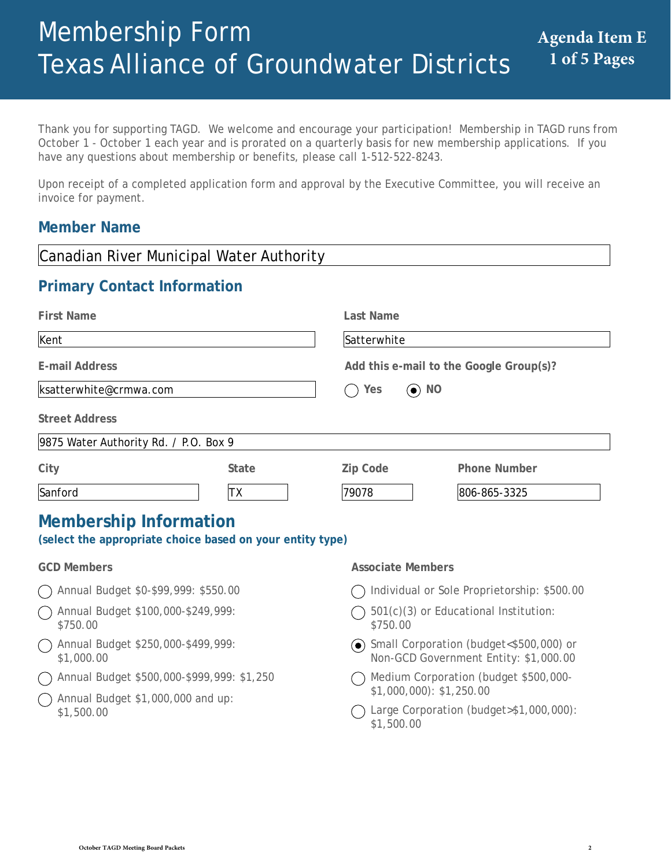Thank you for supporting TAGD. We welcome and encourage your participation! Membership in TAGD runs from October 1 - October 1 each year and is prorated on a quarterly basis for new membership applications. If you have any questions about membership or benefits, please call 1-512-522-8243.

Upon receipt of a completed application form and approval by the Executive Committee, you will receive an invoice for payment.

# **Member Name**

| Canadian River Municipal Water Authority                                                   |              |                          |                                                                                    |  |  |
|--------------------------------------------------------------------------------------------|--------------|--------------------------|------------------------------------------------------------------------------------|--|--|
| <b>Primary Contact Information</b>                                                         |              |                          |                                                                                    |  |  |
| <b>First Name</b>                                                                          |              | Last Name                |                                                                                    |  |  |
| Kent                                                                                       |              | Satterwhite              |                                                                                    |  |  |
| <b>E-mail Address</b>                                                                      |              |                          | Add this e-mail to the Google Group(s)?                                            |  |  |
| ksatterwhite@crmwa.com                                                                     |              | $\odot$ NO<br>Yes        |                                                                                    |  |  |
| <b>Street Address</b>                                                                      |              |                          |                                                                                    |  |  |
| 9875 Water Authority Rd. / P.O. Box 9                                                      |              |                          |                                                                                    |  |  |
| City                                                                                       | <b>State</b> | Zip Code                 | <b>Phone Number</b>                                                                |  |  |
| Sanford                                                                                    | <b>TX</b>    | 79078                    | 806-865-3325                                                                       |  |  |
| <b>Membership Information</b><br>(select the appropriate choice based on your entity type) |              |                          |                                                                                    |  |  |
| <b>GCD Members</b>                                                                         |              | <b>Associate Members</b> |                                                                                    |  |  |
| Annual Budget \$0-\$99,999: \$550.00                                                       |              |                          | Individual or Sole Proprietorship: \$500.00                                        |  |  |
| Annual Budget \$100,000-\$249,999:<br>\$750.00                                             |              | \$750.00                 | 501(c)(3) or Educational Institution:                                              |  |  |
| Annual Budget \$250,000-\$499,999:<br>\$1,000.00                                           |              |                          | → Small Corporation (budget<\$500,000) or<br>Non-GCD Government Entity: \$1,000.00 |  |  |
| Annual Budget \$500,000-\$999,999: \$1,250                                                 |              |                          | Medium Corporation (budget \$500,000-<br>$$1,000,000$ : \$1,250.00                 |  |  |
| Annual Budget \$1,000,000 and up:<br>\$1,500.00                                            |              | \$1,500.00               | Large Corporation (budget>\$1,000,000):                                            |  |  |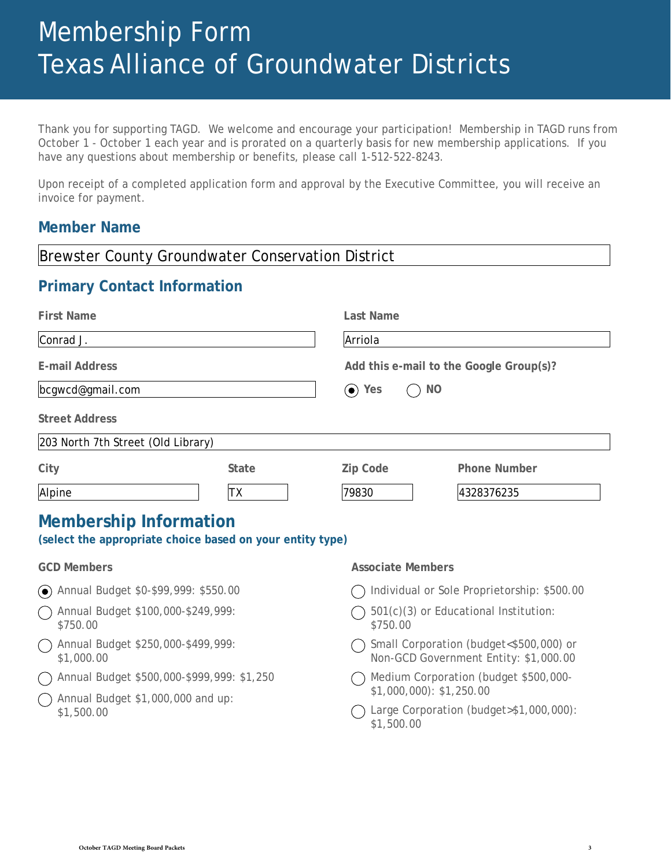Thank you for supporting TAGD. We welcome and encourage your participation! Membership in TAGD runs from October 1 - October 1 each year and is prorated on a quarterly basis for new membership applications. If you have any questions about membership or benefits, please call 1-512-522-8243.

Upon receipt of a completed application form and approval by the Executive Committee, you will receive an invoice for payment.

# **Member Name**

| <b>Brewster County Groundwater Conservation District</b>                                   |              |                          |                                                                                  |  |  |
|--------------------------------------------------------------------------------------------|--------------|--------------------------|----------------------------------------------------------------------------------|--|--|
| <b>Primary Contact Information</b>                                                         |              |                          |                                                                                  |  |  |
| <b>First Name</b>                                                                          |              | <b>Last Name</b>         |                                                                                  |  |  |
| Conrad J.                                                                                  |              | Arriola                  |                                                                                  |  |  |
| <b>E-mail Address</b>                                                                      |              |                          | Add this e-mail to the Google Group(s)?                                          |  |  |
| bcgwcd@gmail.com                                                                           |              | $\odot$ Yes              | <b>NO</b>                                                                        |  |  |
| <b>Street Address</b>                                                                      |              |                          |                                                                                  |  |  |
| 203 North 7th Street (Old Library)                                                         |              |                          |                                                                                  |  |  |
| City                                                                                       | <b>State</b> | <b>Zip Code</b>          | <b>Phone Number</b>                                                              |  |  |
| Alpine                                                                                     | <b>TX</b>    | 79830                    | 4328376235                                                                       |  |  |
| <b>Membership Information</b><br>(select the appropriate choice based on your entity type) |              |                          |                                                                                  |  |  |
| <b>GCD Members</b>                                                                         |              | <b>Associate Members</b> |                                                                                  |  |  |
| (●) Annual Budget \$0-\$99,999: \$550.00                                                   |              |                          | Individual or Sole Proprietorship: \$500.00                                      |  |  |
| Annual Budget \$100,000-\$249,999:<br>\$750.00                                             |              | \$750.00                 | 501(c)(3) or Educational Institution:                                            |  |  |
| Annual Budget \$250,000-\$499,999:<br>$($ )<br>\$1,000.00                                  |              |                          | Small Corporation (budget<\$500,000) or<br>Non-GCD Government Entity: \$1,000.00 |  |  |
| Annual Budget \$500,000-\$999,999: \$1,250<br>$(\Box$                                      |              |                          | Medium Corporation (budget \$500,000-                                            |  |  |
| Annual Budget \$1,000,000 and up:<br>\$1,500.00                                            |              | \$1,500.00               | $$1,000,000$ : $$1,250.00$<br>Large Corporation (budget>\$1,000,000):            |  |  |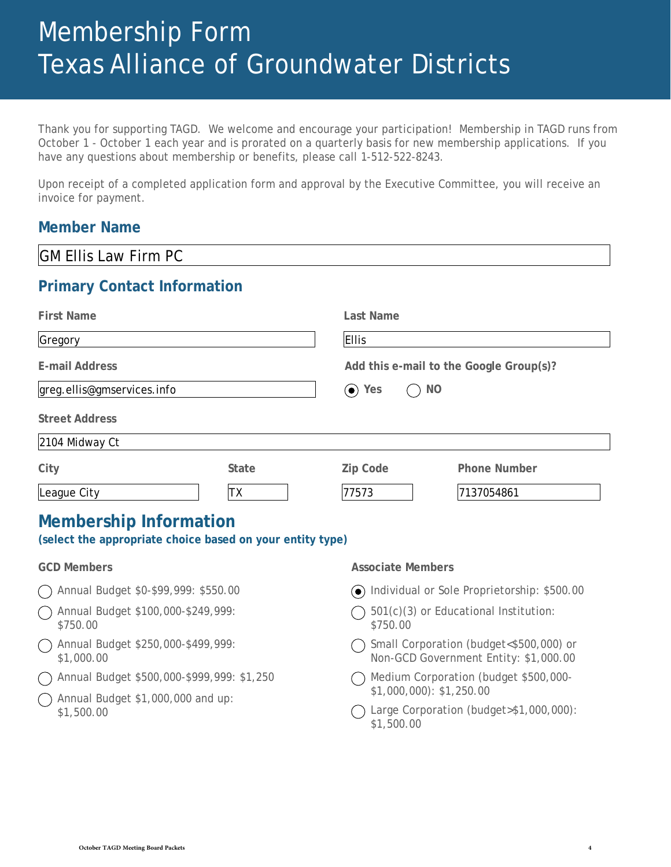Thank you for supporting TAGD. We welcome and encourage your participation! Membership in TAGD runs from October 1 - October 1 each year and is prorated on a quarterly basis for new membership applications. If you have any questions about membership or benefits, please call 1-512-522-8243.

Upon receipt of a completed application form and approval by the Executive Committee, you will receive an invoice for payment.

# **Member Name**

| <b>GM Ellis Law Firm PC</b>                                                                                   |              |                                                   |                           |                                                                                  |
|---------------------------------------------------------------------------------------------------------------|--------------|---------------------------------------------------|---------------------------|----------------------------------------------------------------------------------|
| <b>Primary Contact Information</b>                                                                            |              |                                                   |                           |                                                                                  |
| <b>First Name</b>                                                                                             |              | <b>Last Name</b>                                  |                           |                                                                                  |
| Gregory                                                                                                       |              | <b>Ellis</b>                                      |                           |                                                                                  |
| <b>E-mail Address</b>                                                                                         |              |                                                   |                           | Add this e-mail to the Google Group(s)?                                          |
| greg.ellis@gmservices.info                                                                                    |              | $\odot$ Yes                                       | <b>NO</b>                 |                                                                                  |
| <b>Street Address</b>                                                                                         |              |                                                   |                           |                                                                                  |
| 2104 Midway Ct                                                                                                |              |                                                   |                           |                                                                                  |
| City                                                                                                          | <b>State</b> | <b>Zip Code</b>                                   |                           | <b>Phone Number</b>                                                              |
| League City                                                                                                   | TХ           | 77573                                             |                           | 7137054861                                                                       |
| <b>Membership Information</b><br>(select the appropriate choice based on your entity type)                    |              |                                                   |                           |                                                                                  |
| <b>GCD Members</b>                                                                                            |              |                                                   | <b>Associate Members</b>  |                                                                                  |
| Annual Budget \$0-\$99,999: \$550.00                                                                          |              |                                                   |                           | (•) Individual or Sole Proprietorship: \$500.00                                  |
| Annual Budget \$100,000-\$249,999:<br>\$750.00                                                                |              | 501(c)(3) or Educational Institution:<br>\$750.00 |                           |                                                                                  |
| Annual Budget \$250,000-\$499,999:<br>\$1,000.00                                                              |              |                                                   |                           | Small Corporation (budget<\$500,000) or<br>Non-GCD Government Entity: \$1,000.00 |
| Annual Budget \$500,000-\$999,999: \$1,250<br>$\bigcap$ Annual Budget $(1, 0.00, 0.00, \text{and} \text{un})$ |              |                                                   | $$1,000,000$ : \$1,250.00 | Medium Corporation (budget \$500,000-                                            |

 $\bigcap$  Annual Budget \$1,000,000 and up: \$1,500.00

Large Corporation (budget>\$1,000,000):

\$1,500.00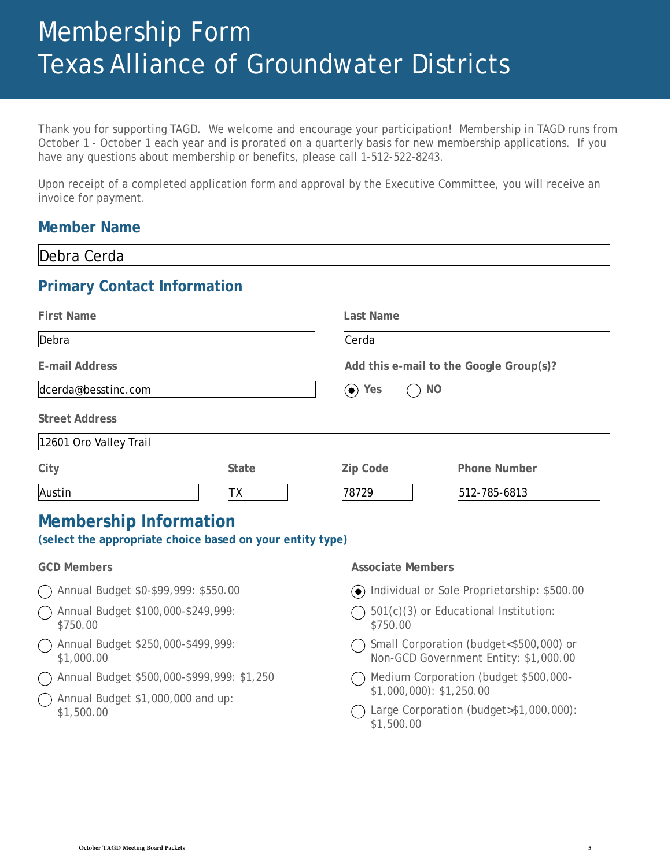Thank you for supporting TAGD. We welcome and encourage your participation! Membership in TAGD runs from October 1 - October 1 each year and is prorated on a quarterly basis for new membership applications. If you have any questions about membership or benefits, please call 1-512-522-8243.

Upon receipt of a completed application form and approval by the Executive Committee, you will receive an invoice for payment.

# **Member Name**

| Debra Cerda                                                                                |              |                          |                                         |  |
|--------------------------------------------------------------------------------------------|--------------|--------------------------|-----------------------------------------|--|
| <b>Primary Contact Information</b>                                                         |              |                          |                                         |  |
| <b>First Name</b>                                                                          |              | Last Name                |                                         |  |
| Debra                                                                                      |              | Cerda                    |                                         |  |
| <b>E-mail Address</b>                                                                      |              |                          | Add this e-mail to the Google Group(s)? |  |
| dcerda@besstinc.com                                                                        |              | $\odot$ Yes<br><b>NO</b> |                                         |  |
| <b>Street Address</b>                                                                      |              |                          |                                         |  |
| 12601 Oro Valley Trail                                                                     |              |                          |                                         |  |
| City                                                                                       | <b>State</b> | Zip Code                 | <b>Phone Number</b>                     |  |
| Austin                                                                                     | TX           | 78729                    | 512-785-6813                            |  |
| <b>Membership Information</b><br>(select the appropriate choice based on your entity type) |              |                          |                                         |  |
| <b>GCD Members</b>                                                                         |              | <b>Associate Members</b> |                                         |  |

- Annual Budget \$0-\$99,999: \$550.00
- Annual Budget \$100,000-\$249,999: \$750.00
- Annual Budget \$250,000-\$499,999: \$1,000.00
- Annual Budget \$500,000-\$999,999: \$1,250
- $\bigcap$  Annual Budget \$1,000,000 and up: \$1,500.00
- Individual or Sole Proprietorship: \$500.00
- $\bigcap$  501(c)(3) or Educational Institution: \$750.00
- Small Corporation (budget<\$500,000) or Non-GCD Government Entity: \$1,000.00
- Medium Corporation (budget \$500,000- \$1,000,000): \$1,250.00
- Large Corporation (budget>\$1,000,000): \$1,500.00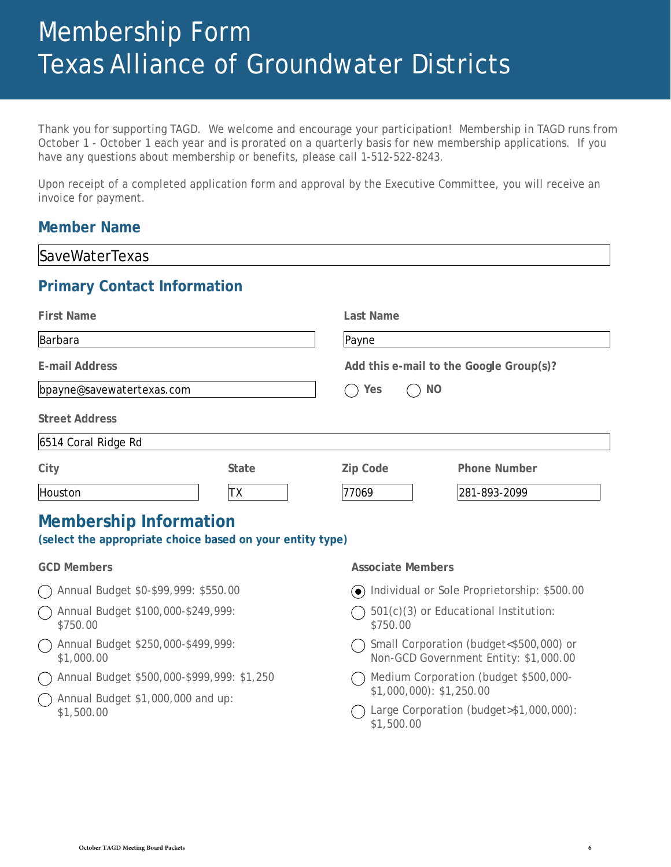Thank you for supporting TAGD. We welcome and encourage your participation! Membership in TAGD runs from October 1 - October 1 each year and is prorated on a quarterly basis for new membership applications. If you have any questions about membership or benefits, please call 1-512-522-8243.

Upon receipt of a completed application form and approval by the Executive Committee, you will receive an invoice for payment.

# **Member Name**

| <b>SaveWaterTexas</b>                                                                      |                                                                                  |
|--------------------------------------------------------------------------------------------|----------------------------------------------------------------------------------|
| <b>Primary Contact Information</b>                                                         |                                                                                  |
| <b>First Name</b>                                                                          | <b>Last Name</b>                                                                 |
| Barbara                                                                                    | Payne                                                                            |
| <b>E-mail Address</b>                                                                      | Add this e-mail to the Google Group(s)?                                          |
| bpayne@savewatertexas.com                                                                  | <b>NO</b><br>Yes                                                                 |
| <b>Street Address</b>                                                                      |                                                                                  |
| 6514 Coral Ridge Rd                                                                        |                                                                                  |
| City<br><b>State</b>                                                                       | <b>Phone Number</b><br><b>Zip Code</b>                                           |
| Houston<br>TХ                                                                              | 77069<br>281-893-2099                                                            |
| <b>Membership Information</b><br>(select the appropriate choice based on your entity type) |                                                                                  |
| <b>GCD Members</b>                                                                         | <b>Associate Members</b>                                                         |
| Annual Budget \$0-\$99,999: \$550.00                                                       | O Individual or Sole Proprietorship: \$500.00                                    |
| Annual Budget \$100,000-\$249,999:<br>\$750.00                                             | 501(c)(3) or Educational Institution:<br>\$750.00                                |
| Annual Budget \$250,000-\$499,999:<br>\$1,000.00                                           | Small Corporation (budget<\$500,000) or<br>Non-GCD Government Entity: \$1,000.00 |
| Annual Budget \$500,000-\$999,999: \$1,250                                                 | Medium Corporation (budget \$500,000-<br>$$1,000,000$ : \$1,250.00               |
| Annual Budget \$1,000,000 and up:<br>\$1,500.00                                            | Large Corporation (budget>\$1,000,000):                                          |

\$1,500.00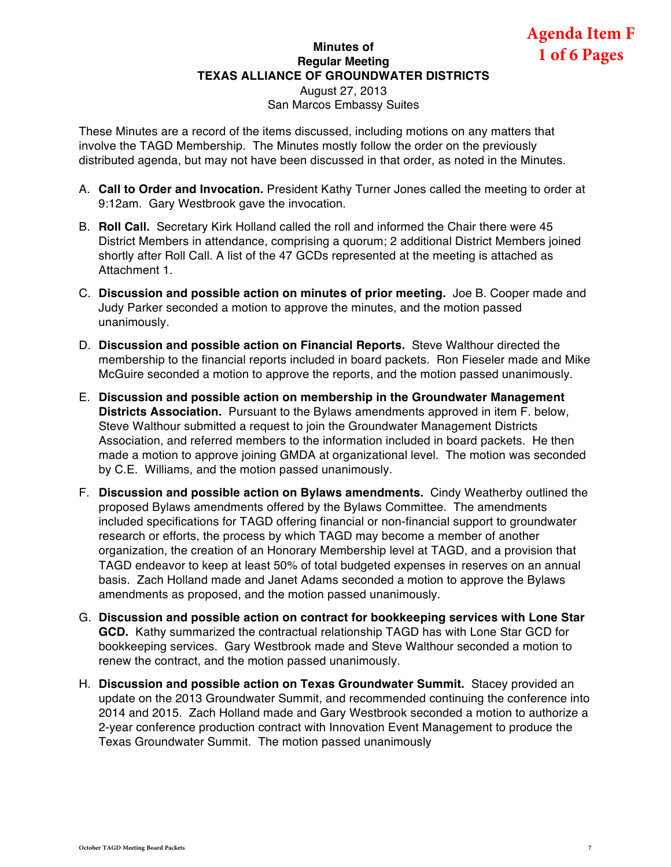### **Minutes of Regular Meeting TEXAS ALLIANCE OF GROUNDWATER DISTRICTS**  August 27, 2013

San Marcos Embassy Suites

These Minutes are a record of the items discussed, including motions on any matters that involve the TAGD Membership. The Minutes mostly follow the order on the previously distributed agenda, but may not have been discussed in that order, as noted in the Minutes.

- A. **Call to Order and Invocation.** President Kathy Turner Jones called the meeting to order at 9:12am. Gary Westbrook gave the invocation.
- B. **Roll Call.** Secretary Kirk Holland called the roll and informed the Chair there were 45 District Members in attendance, comprising a quorum; 2 additional District Members joined shortly after Roll Call. A list of the 47 GCDs represented at the meeting is attached as Attachment 1.
- C. **Discussion and possible action on minutes of prior meeting.** Joe B. Cooper made and Judy Parker seconded a motion to approve the minutes, and the motion passed unanimously.
- D. **Discussion and possible action on Financial Reports.** Steve Walthour directed the membership to the financial reports included in board packets. Ron Fieseler made and Mike McGuire seconded a motion to approve the reports, and the motion passed unanimously.
- E. **Discussion and possible action on membership in the Groundwater Management Districts Association.** Pursuant to the Bylaws amendments approved in item F. below, Steve Walthour submitted a request to join the Groundwater Management Districts Association, and referred members to the information included in board packets. He then made a motion to approve joining GMDA at organizational level. The motion was seconded by C.E. Williams, and the motion passed unanimously.
- F. **Discussion and possible action on Bylaws amendments.** Cindy Weatherby outlined the proposed Bylaws amendments offered by the Bylaws Committee. The amendments included specifications for TAGD offering financial or non-financial support to groundwater research or efforts, the process by which TAGD may become a member of another organization, the creation of an Honorary Membership level at TAGD, and a provision that TAGD endeavor to keep at least 50% of total budgeted expenses in reserves on an annual basis. Zach Holland made and Janet Adams seconded a motion to approve the Bylaws amendments as proposed, and the motion passed unanimously.
- G. **Discussion and possible action on contract for bookkeeping services with Lone Star GCD.** Kathy summarized the contractual relationship TAGD has with Lone Star GCD for bookkeeping services. Gary Westbrook made and Steve Walthour seconded a motion to renew the contract, and the motion passed unanimously.
- H. **Discussion and possible action on Texas Groundwater Summit.** Stacey provided an update on the 2013 Groundwater Summit, and recommended continuing the conference into 2014 and 2015. Zach Holland made and Gary Westbrook seconded a motion to authorize a 2-year conference production contract with Innovation Event Management to produce the Texas Groundwater Summit. The motion passed unanimously

**Agenda Item F 1 of 6 Pages**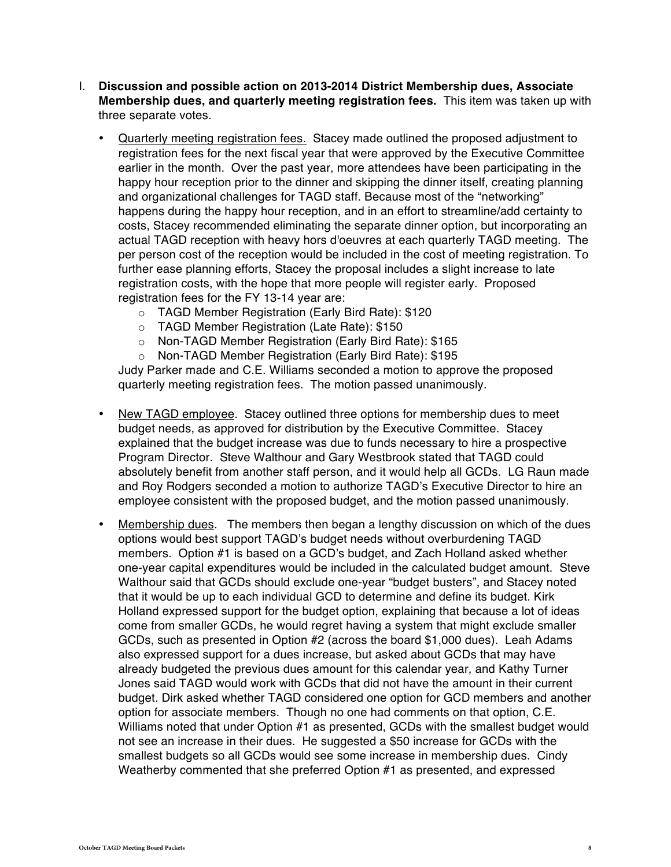- I. **Discussion and possible action on 2013-2014 District Membership dues, Associate Membership dues, and quarterly meeting registration fees.** This item was taken up with three separate votes.
	- Quarterly meeting registration fees. Stacey made outlined the proposed adjustment to registration fees for the next fiscal year that were approved by the Executive Committee earlier in the month. Over the past year, more attendees have been participating in the happy hour reception prior to the dinner and skipping the dinner itself, creating planning and organizational challenges for TAGD staff. Because most of the "networking" happens during the happy hour reception, and in an effort to streamline/add certainty to costs, Stacey recommended eliminating the separate dinner option, but incorporating an actual TAGD reception with heavy hors d'oeuvres at each quarterly TAGD meeting. The per person cost of the reception would be included in the cost of meeting registration. To further ease planning efforts, Stacey the proposal includes a slight increase to late registration costs, with the hope that more people will register early. Proposed registration fees for the FY 13-14 year are:
		- o TAGD Member Registration (Early Bird Rate): \$120
		- o TAGD Member Registration (Late Rate): \$150
		- o Non-TAGD Member Registration (Early Bird Rate): \$165
		- o Non-TAGD Member Registration (Early Bird Rate): \$195

Judy Parker made and C.E. Williams seconded a motion to approve the proposed quarterly meeting registration fees. The motion passed unanimously.

- New TAGD employee. Stacey outlined three options for membership dues to meet budget needs, as approved for distribution by the Executive Committee. Stacey explained that the budget increase was due to funds necessary to hire a prospective Program Director. Steve Walthour and Gary Westbrook stated that TAGD could absolutely benefit from another staff person, and it would help all GCDs. LG Raun made and Roy Rodgers seconded a motion to authorize TAGD's Executive Director to hire an employee consistent with the proposed budget, and the motion passed unanimously.
- Membership dues. The members then began a lengthy discussion on which of the dues options would best support TAGD's budget needs without overburdening TAGD members. Option #1 is based on a GCD's budget, and Zach Holland asked whether one-year capital expenditures would be included in the calculated budget amount. Steve Walthour said that GCDs should exclude one-year "budget busters", and Stacey noted that it would be up to each individual GCD to determine and define its budget. Kirk Holland expressed support for the budget option, explaining that because a lot of ideas come from smaller GCDs, he would regret having a system that might exclude smaller GCDs, such as presented in Option #2 (across the board \$1,000 dues). Leah Adams also expressed support for a dues increase, but asked about GCDs that may have already budgeted the previous dues amount for this calendar year, and Kathy Turner Jones said TAGD would work with GCDs that did not have the amount in their current budget. Dirk asked whether TAGD considered one option for GCD members and another option for associate members. Though no one had comments on that option, C.E. Williams noted that under Option #1 as presented, GCDs with the smallest budget would not see an increase in their dues. He suggested a \$50 increase for GCDs with the smallest budgets so all GCDs would see some increase in membership dues. Cindy Weatherby commented that she preferred Option #1 as presented, and expressed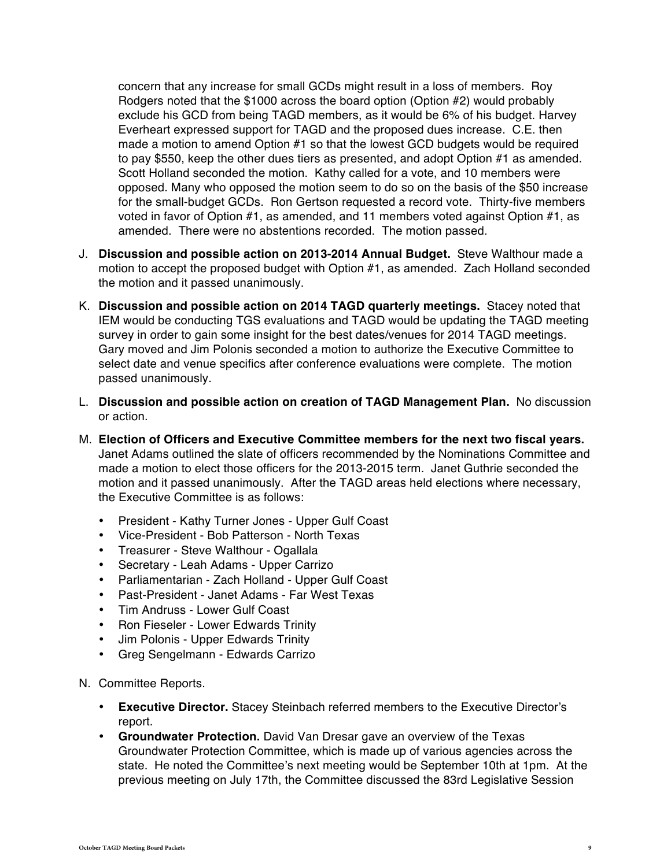concern that any increase for small GCDs might result in a loss of members. Roy Rodgers noted that the \$1000 across the board option (Option #2) would probably exclude his GCD from being TAGD members, as it would be 6% of his budget. Harvey Everheart expressed support for TAGD and the proposed dues increase. C.E. then made a motion to amend Option #1 so that the lowest GCD budgets would be required to pay \$550, keep the other dues tiers as presented, and adopt Option #1 as amended. Scott Holland seconded the motion. Kathy called for a vote, and 10 members were opposed. Many who opposed the motion seem to do so on the basis of the \$50 increase for the small-budget GCDs. Ron Gertson requested a record vote. Thirty-five members voted in favor of Option #1, as amended, and 11 members voted against Option #1, as amended. There were no abstentions recorded. The motion passed.

- J. **Discussion and possible action on 2013-2014 Annual Budget.** Steve Walthour made a motion to accept the proposed budget with Option #1, as amended. Zach Holland seconded the motion and it passed unanimously.
- K. **Discussion and possible action on 2014 TAGD quarterly meetings.** Stacey noted that IEM would be conducting TGS evaluations and TAGD would be updating the TAGD meeting survey in order to gain some insight for the best dates/venues for 2014 TAGD meetings. Gary moved and Jim Polonis seconded a motion to authorize the Executive Committee to select date and venue specifics after conference evaluations were complete. The motion passed unanimously.
- L. **Discussion and possible action on creation of TAGD Management Plan.** No discussion or action.
- M. **Election of Officers and Executive Committee members for the next two fiscal years.**  Janet Adams outlined the slate of officers recommended by the Nominations Committee and made a motion to elect those officers for the 2013-2015 term. Janet Guthrie seconded the motion and it passed unanimously. After the TAGD areas held elections where necessary, the Executive Committee is as follows:
	- President Kathy Turner Jones Upper Gulf Coast
	- Vice-President Bob Patterson North Texas
	- Treasurer Steve Walthour Ogallala
	- Secretary Leah Adams Upper Carrizo
	- Parliamentarian Zach Holland Upper Gulf Coast
	- Past-President Janet Adams Far West Texas
	- Tim Andruss Lower Gulf Coast
	- Ron Fieseler Lower Edwards Trinity
	- Jim Polonis Upper Edwards Trinity
	- Greg Sengelmann Edwards Carrizo
- N. Committee Reports.
	- **Executive Director.** Stacey Steinbach referred members to the Executive Director's report.
	- **Groundwater Protection.** David Van Dresar gave an overview of the Texas Groundwater Protection Committee, which is made up of various agencies across the state. He noted the Committee's next meeting would be September 10th at 1pm. At the previous meeting on July 17th, the Committee discussed the 83rd Legislative Session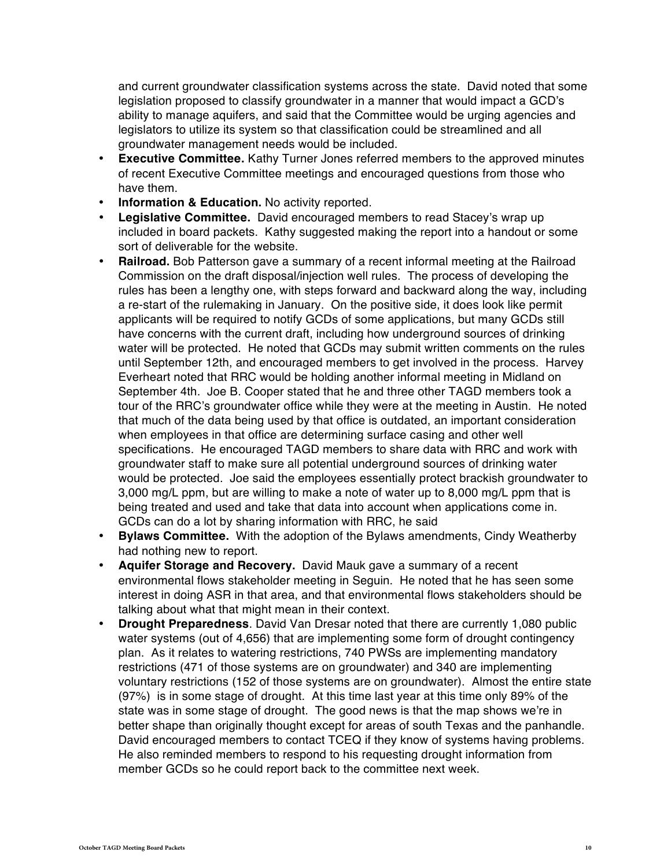and current groundwater classification systems across the state. David noted that some legislation proposed to classify groundwater in a manner that would impact a GCD's ability to manage aquifers, and said that the Committee would be urging agencies and legislators to utilize its system so that classification could be streamlined and all groundwater management needs would be included.

- **Executive Committee.** Kathy Turner Jones referred members to the approved minutes of recent Executive Committee meetings and encouraged questions from those who have them.
- **Information & Education.** No activity reported.
- **Legislative Committee.** David encouraged members to read Stacey's wrap up included in board packets. Kathy suggested making the report into a handout or some sort of deliverable for the website.
- **Railroad.** Bob Patterson gave a summary of a recent informal meeting at the Railroad Commission on the draft disposal/injection well rules. The process of developing the rules has been a lengthy one, with steps forward and backward along the way, including a re-start of the rulemaking in January. On the positive side, it does look like permit applicants will be required to notify GCDs of some applications, but many GCDs still have concerns with the current draft, including how underground sources of drinking water will be protected. He noted that GCDs may submit written comments on the rules until September 12th, and encouraged members to get involved in the process. Harvey Everheart noted that RRC would be holding another informal meeting in Midland on September 4th. Joe B. Cooper stated that he and three other TAGD members took a tour of the RRC's groundwater office while they were at the meeting in Austin. He noted that much of the data being used by that office is outdated, an important consideration when employees in that office are determining surface casing and other well specifications. He encouraged TAGD members to share data with RRC and work with groundwater staff to make sure all potential underground sources of drinking water would be protected. Joe said the employees essentially protect brackish groundwater to 3,000 mg/L ppm, but are willing to make a note of water up to 8,000 mg/L ppm that is being treated and used and take that data into account when applications come in. GCDs can do a lot by sharing information with RRC, he said
- **Bylaws Committee.** With the adoption of the Bylaws amendments, Cindy Weatherby had nothing new to report.
- **Aquifer Storage and Recovery.** David Mauk gave a summary of a recent environmental flows stakeholder meeting in Seguin. He noted that he has seen some interest in doing ASR in that area, and that environmental flows stakeholders should be talking about what that might mean in their context.
- **Drought Preparedness**. David Van Dresar noted that there are currently 1,080 public water systems (out of 4,656) that are implementing some form of drought contingency plan. As it relates to watering restrictions, 740 PWSs are implementing mandatory restrictions (471 of those systems are on groundwater) and 340 are implementing voluntary restrictions (152 of those systems are on groundwater). Almost the entire state (97%) is in some stage of drought. At this time last year at this time only 89% of the state was in some stage of drought. The good news is that the map shows we're in better shape than originally thought except for areas of south Texas and the panhandle. David encouraged members to contact TCEQ if they know of systems having problems. He also reminded members to respond to his requesting drought information from member GCDs so he could report back to the committee next week.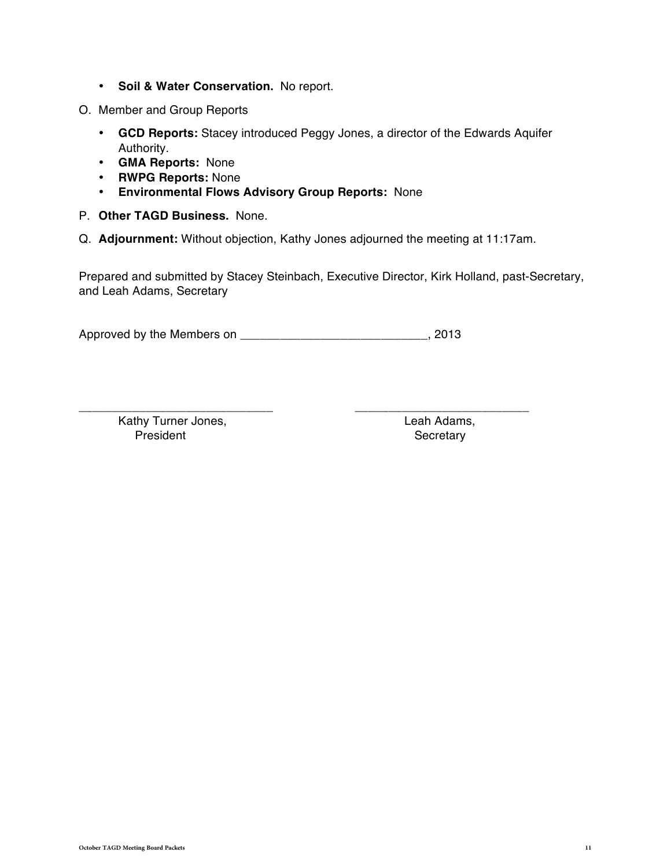- **Soil & Water Conservation.** No report.
- O. Member and Group Reports
	- **GCD Reports:** Stacey introduced Peggy Jones, a director of the Edwards Aquifer Authority.
	- **GMA Reports:** None
	- **RWPG Reports:** None
	- **Environmental Flows Advisory Group Reports:** None
- P. **Other TAGD Business.** None.
- Q. **Adjournment:** Without objection, Kathy Jones adjourned the meeting at 11:17am.

Prepared and submitted by Stacey Steinbach, Executive Director, Kirk Holland, past-Secretary, and Leah Adams, Secretary

Approved by the Members on \_\_\_\_\_\_\_\_\_\_\_\_\_\_\_\_\_\_\_\_\_\_\_\_\_\_\_\_, 2013

\_\_\_\_\_\_\_\_\_\_\_\_\_\_\_\_\_\_\_\_\_\_\_\_\_\_\_\_\_ \_\_\_\_\_\_\_\_\_\_\_\_\_\_\_\_\_\_\_\_\_\_\_\_\_\_ Kathy Turner Jones, The Contract of the Leah Adams, President **Secretary**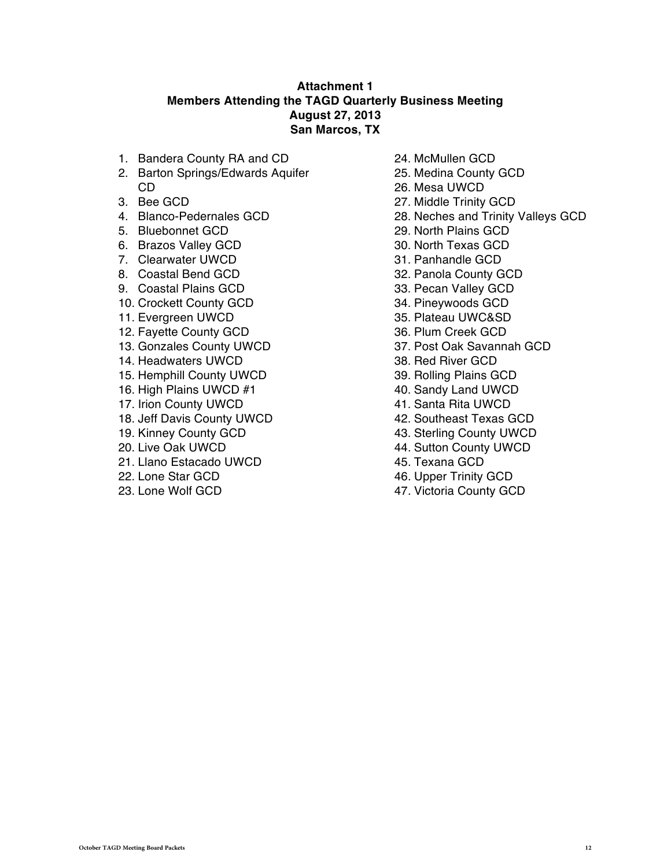#### **Attachment 1 Members Attending the TAGD Quarterly Business Meeting August 27, 2013 San Marcos, TX**

- 1. Bandera County RA and CD
- 2. Barton Springs/Edwards Aquifer CD
- 3. Bee GCD
- 4. Blanco-Pedernales GCD
- 5. Bluebonnet GCD
- 6. Brazos Valley GCD
- 7. Clearwater UWCD
- 8. Coastal Bend GCD
- 9. Coastal Plains GCD
- 10. Crockett County GCD
- 11. Evergreen UWCD
- 12. Fayette County GCD
- 13. Gonzales County UWCD
- 14. Headwaters UWCD
- 15. Hemphill County UWCD
- 16. High Plains UWCD #1
- 17. Irion County UWCD
- 18. Jeff Davis County UWCD
- 19. Kinney County GCD
- 20. Live Oak UWCD
- 21. Llano Estacado UWCD
- 22. Lone Star GCD
- 23. Lone Wolf GCD
- 24. McMullen GCD
- 25. Medina County GCD
- 26. Mesa UWCD
- 27. Middle Trinity GCD
- 28. Neches and Trinity Valleys GCD
- 29. North Plains GCD
- 30. North Texas GCD
- 31. Panhandle GCD
- 32. Panola County GCD
- 33. Pecan Valley GCD
- 34. Pineywoods GCD
- 35. Plateau UWC&SD
- 36. Plum Creek GCD
- 37. Post Oak Savannah GCD
- 38. Red River GCD
- 39. Rolling Plains GCD
- 40. Sandy Land UWCD
- 41. Santa Rita UWCD
- 42. Southeast Texas GCD
- 43. Sterling County UWCD
- 44. Sutton County UWCD
- 45. Texana GCD
- 46. Upper Trinity GCD
- 47. Victoria County GCD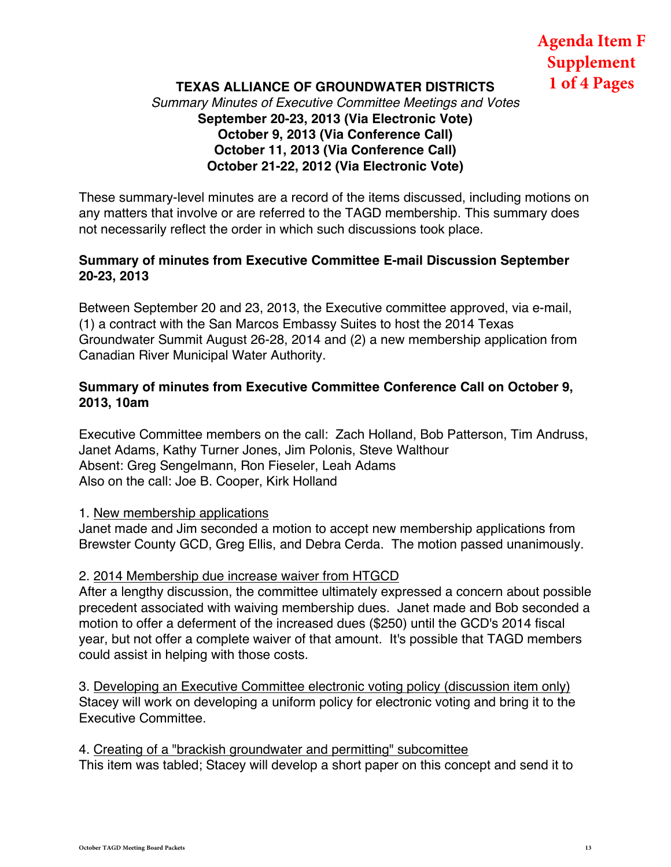# **Agenda Item F Supplement 1 of 4 Pages**

### **TEXAS ALLIANCE OF GROUNDWATER DISTRICTS** *Summary Minutes of Executive Committee Meetings and Votes* **September 20-23, 2013 (Via Electronic Vote) October 9, 2013 (Via Conference Call) October 11, 2013 (Via Conference Call) October 21-22, 2012 (Via Electronic Vote)**

These summary-level minutes are a record of the items discussed, including motions on any matters that involve or are referred to the TAGD membership. This summary does not necessarily reflect the order in which such discussions took place.

#### **Summary of minutes from Executive Committee E-mail Discussion September 20-23, 2013**

Between September 20 and 23, 2013, the Executive committee approved, via e-mail, (1) a contract with the San Marcos Embassy Suites to host the 2014 Texas Groundwater Summit August 26-28, 2014 and (2) a new membership application from Canadian River Municipal Water Authority.

### **Summary of minutes from Executive Committee Conference Call on October 9, 2013, 10am**

Executive Committee members on the call: Zach Holland, Bob Patterson, Tim Andruss, Janet Adams, Kathy Turner Jones, Jim Polonis, Steve Walthour Absent: Greg Sengelmann, Ron Fieseler, Leah Adams Also on the call: Joe B. Cooper, Kirk Holland

1. New membership applications

Janet made and Jim seconded a motion to accept new membership applications from Brewster County GCD, Greg Ellis, and Debra Cerda. The motion passed unanimously.

#### 2. 2014 Membership due increase waiver from HTGCD

After a lengthy discussion, the committee ultimately expressed a concern about possible precedent associated with waiving membership dues. Janet made and Bob seconded a motion to offer a deferment of the increased dues (\$250) until the GCD's 2014 fiscal year, but not offer a complete waiver of that amount. It's possible that TAGD members could assist in helping with those costs.

3. Developing an Executive Committee electronic voting policy (discussion item only) Stacey will work on developing a uniform policy for electronic voting and bring it to the Executive Committee.

4. Creating of a "brackish groundwater and permitting" subcomittee This item was tabled; Stacey will develop a short paper on this concept and send it to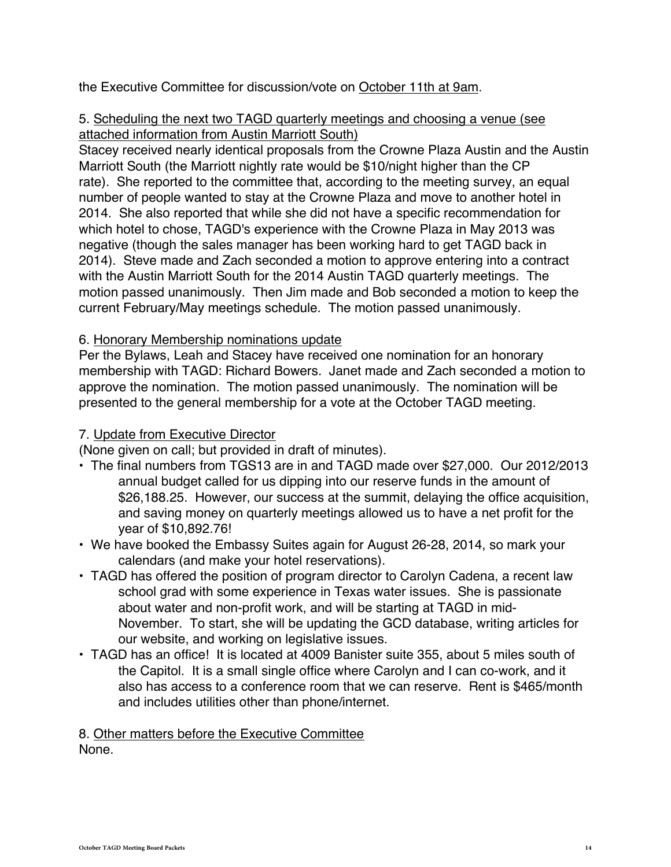the Executive Committee for discussion/vote on October 11th at 9am.

### 5. Scheduling the next two TAGD quarterly meetings and choosing a venue (see attached information from Austin Marriott South)

Stacey received nearly identical proposals from the Crowne Plaza Austin and the Austin Marriott South (the Marriott nightly rate would be \$10/night higher than the CP rate). She reported to the committee that, according to the meeting survey, an equal number of people wanted to stay at the Crowne Plaza and move to another hotel in 2014. She also reported that while she did not have a specific recommendation for which hotel to chose, TAGD's experience with the Crowne Plaza in May 2013 was negative (though the sales manager has been working hard to get TAGD back in 2014). Steve made and Zach seconded a motion to approve entering into a contract with the Austin Marriott South for the 2014 Austin TAGD quarterly meetings. The motion passed unanimously. Then Jim made and Bob seconded a motion to keep the current February/May meetings schedule. The motion passed unanimously.

### 6. Honorary Membership nominations update

Per the Bylaws, Leah and Stacey have received one nomination for an honorary membership with TAGD: Richard Bowers. Janet made and Zach seconded a motion to approve the nomination. The motion passed unanimously. The nomination will be presented to the general membership for a vote at the October TAGD meeting.

### 7. Update from Executive Director

(None given on call; but provided in draft of minutes).

- The final numbers from TGS13 are in and TAGD made over \$27,000. Our 2012/2013 annual budget called for us dipping into our reserve funds in the amount of \$26,188.25. However, our success at the summit, delaying the office acquisition, and saving money on quarterly meetings allowed us to have a net profit for the year of \$10,892.76!
- We have booked the Embassy Suites again for August 26-28, 2014, so mark your calendars (and make your hotel reservations).
- TAGD has offered the position of program director to Carolyn Cadena, a recent law school grad with some experience in Texas water issues. She is passionate about water and non-profit work, and will be starting at TAGD in mid-November. To start, she will be updating the GCD database, writing articles for our website, and working on legislative issues.
- TAGD has an office! It is located at 4009 Banister suite 355, about 5 miles south of the Capitol. It is a small single office where Carolyn and I can co-work, and it also has access to a conference room that we can reserve. Rent is \$465/month and includes utilities other than phone/internet.

## 8. Other matters before the Executive Committee

None.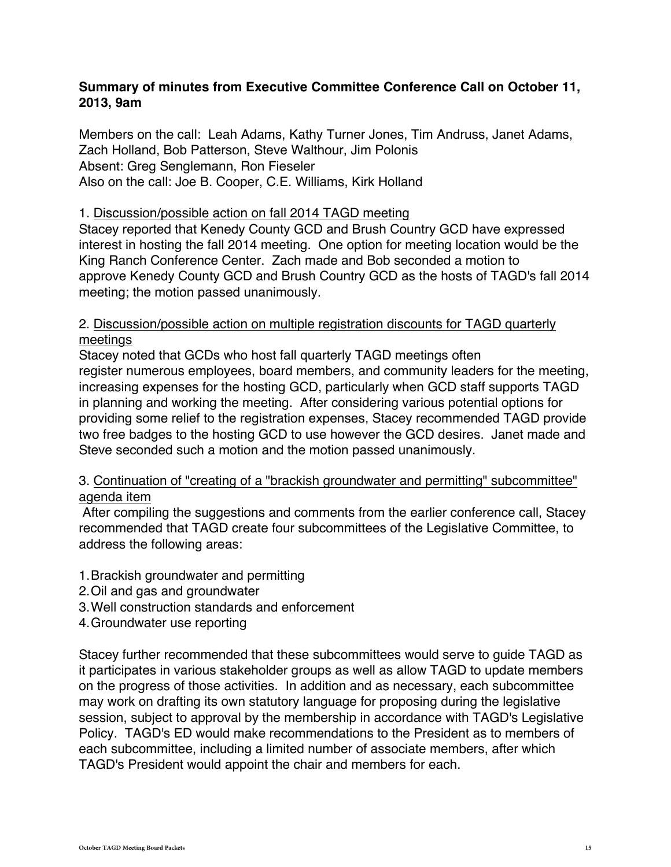#### **Summary of minutes from Executive Committee Conference Call on October 11, 2013, 9am**

Members on the call: Leah Adams, Kathy Turner Jones, Tim Andruss, Janet Adams, Zach Holland, Bob Patterson, Steve Walthour, Jim Polonis Absent: Greg Senglemann, Ron Fieseler Also on the call: Joe B. Cooper, C.E. Williams, Kirk Holland

#### 1. Discussion/possible action on fall 2014 TAGD meeting

Stacey reported that Kenedy County GCD and Brush Country GCD have expressed interest in hosting the fall 2014 meeting. One option for meeting location would be the King Ranch Conference Center. Zach made and Bob seconded a motion to approve Kenedy County GCD and Brush Country GCD as the hosts of TAGD's fall 2014 meeting; the motion passed unanimously.

#### 2. Discussion/possible action on multiple registration discounts for TAGD quarterly meetings

Stacey noted that GCDs who host fall quarterly TAGD meetings often register numerous employees, board members, and community leaders for the meeting, increasing expenses for the hosting GCD, particularly when GCD staff supports TAGD in planning and working the meeting. After considering various potential options for providing some relief to the registration expenses, Stacey recommended TAGD provide two free badges to the hosting GCD to use however the GCD desires. Janet made and Steve seconded such a motion and the motion passed unanimously.

### 3. Continuation of "creating of a "brackish groundwater and permitting" subcommittee" agenda item

 After compiling the suggestions and comments from the earlier conference call, Stacey recommended that TAGD create four subcommittees of the Legislative Committee, to address the following areas:

- 1. Brackish groundwater and permitting
- 2.Oil and gas and groundwater
- 3. Well construction standards and enforcement
- 4. Groundwater use reporting

Stacey further recommended that these subcommittees would serve to guide TAGD as it participates in various stakeholder groups as well as allow TAGD to update members on the progress of those activities. In addition and as necessary, each subcommittee may work on drafting its own statutory language for proposing during the legislative session, subject to approval by the membership in accordance with TAGD's Legislative Policy. TAGD's ED would make recommendations to the President as to members of each subcommittee, including a limited number of associate members, after which TAGD's President would appoint the chair and members for each.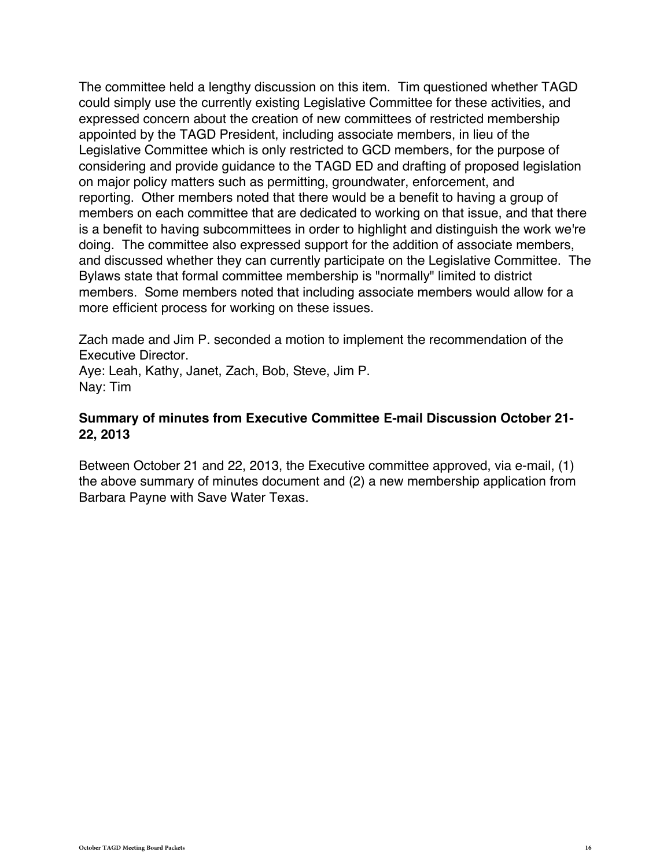The committee held a lengthy discussion on this item. Tim questioned whether TAGD could simply use the currently existing Legislative Committee for these activities, and expressed concern about the creation of new committees of restricted membership appointed by the TAGD President, including associate members, in lieu of the Legislative Committee which is only restricted to GCD members, for the purpose of considering and provide guidance to the TAGD ED and drafting of proposed legislation on major policy matters such as permitting, groundwater, enforcement, and reporting. Other members noted that there would be a benefit to having a group of members on each committee that are dedicated to working on that issue, and that there is a benefit to having subcommittees in order to highlight and distinguish the work we're doing. The committee also expressed support for the addition of associate members, and discussed whether they can currently participate on the Legislative Committee. The Bylaws state that formal committee membership is "normally" limited to district members. Some members noted that including associate members would allow for a more efficient process for working on these issues.

Zach made and Jim P. seconded a motion to implement the recommendation of the Executive Director.

Aye: Leah, Kathy, Janet, Zach, Bob, Steve, Jim P. Nay: Tim

#### **Summary of minutes from Executive Committee E-mail Discussion October 21- 22, 2013**

Between October 21 and 22, 2013, the Executive committee approved, via e-mail, (1) the above summary of minutes document and (2) a new membership application from Barbara Payne with Save Water Texas.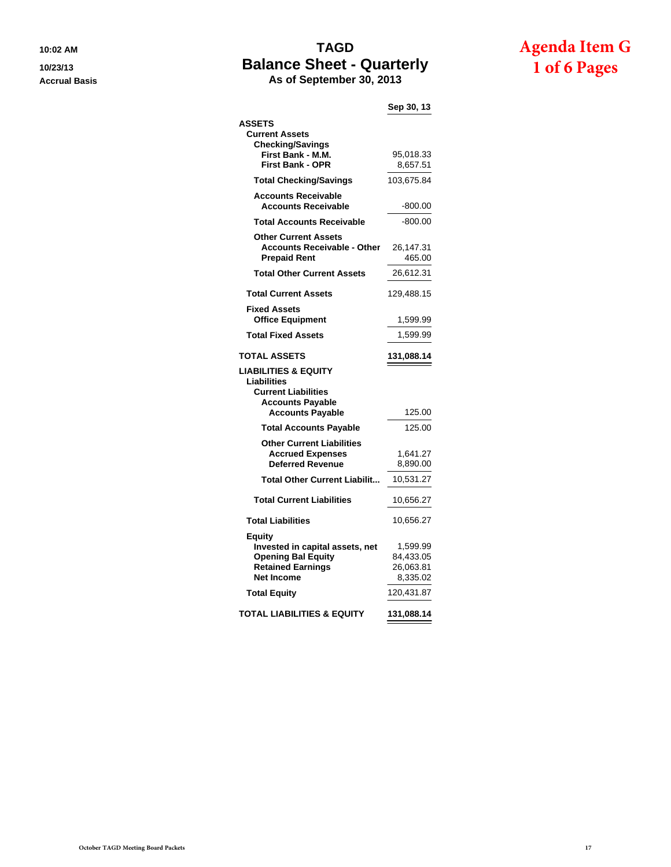## **10:02 AM TAGD 10/23/13 Balance Sheet - Quarterly Accrual Basis As of September 30, 2013**

# **Agenda Item G 1 of 6 Pages**

**Sep 30, 13**

| <b>ASSETS</b><br><b>Current Assets</b><br><b>Checking/Savings</b><br>First Bank - M.M.                                  | 95,018.33                                      |
|-------------------------------------------------------------------------------------------------------------------------|------------------------------------------------|
| <b>First Bank - OPR</b>                                                                                                 | 8,657.51                                       |
| <b>Total Checking/Savings</b>                                                                                           | 103,675.84                                     |
| <b>Accounts Receivable</b><br><b>Accounts Receivable</b>                                                                | $-800.00$                                      |
| <b>Total Accounts Receivable</b>                                                                                        | $-800.00$                                      |
| <b>Other Current Assets</b><br><b>Accounts Receivable - Other</b><br><b>Prepaid Rent</b>                                | 26,147.31<br>465.00                            |
| <b>Total Other Current Assets</b>                                                                                       | 26,612.31                                      |
| <b>Total Current Assets</b>                                                                                             | 129,488.15                                     |
| <b>Fixed Assets</b><br><b>Office Equipment</b>                                                                          | 1,599.99                                       |
| <b>Total Fixed Assets</b>                                                                                               | 1,599.99                                       |
| <b>TOTAL ASSETS</b>                                                                                                     | 131,088.14                                     |
| <b>LIABILITIES &amp; EQUITY</b>                                                                                         |                                                |
| <b>Liabilities</b><br><b>Current Liabilities</b><br><b>Accounts Payable</b><br><b>Accounts Payable</b>                  | 125.00                                         |
|                                                                                                                         | 125.00                                         |
| <b>Total Accounts Payable</b><br><b>Other Current Liabilities</b><br><b>Accrued Expenses</b><br><b>Deferred Revenue</b> | 1,641.27<br>8,890.00                           |
| <b>Total Other Current Liabilit</b>                                                                                     | 10,531.27                                      |
| <b>Total Current Liabilities</b>                                                                                        | 10,656.27                                      |
| <b>Total Liabilities</b>                                                                                                | 10,656.27                                      |
| Equity<br>Invested in capital assets, net<br><b>Opening Bal Equity</b><br><b>Retained Earnings</b><br><b>Net Income</b> | 1,599.99<br>84,433.05<br>26,063.81<br>8,335.02 |
| <b>Total Equity</b>                                                                                                     | 120,431.87                                     |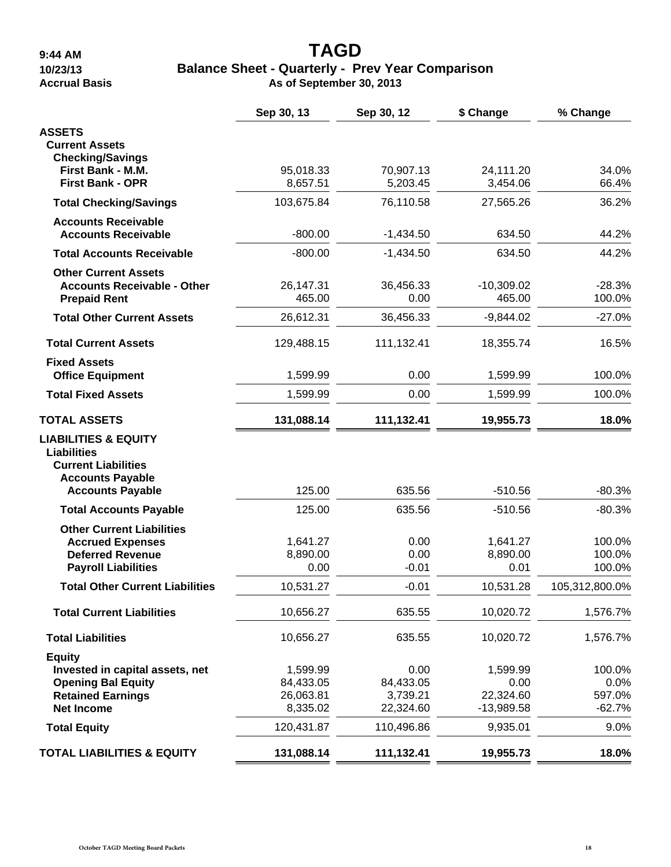# **9:44 AM TAGD 10/23/13 Balance Sheet - Quarterly - Prev Year Comparison**

**Accrual Basis As of September 30, 2013**

|                                                                                                                                           | Sep 30, 13                                     | Sep 30, 12                                 | \$ Change                                     | % Change                             |
|-------------------------------------------------------------------------------------------------------------------------------------------|------------------------------------------------|--------------------------------------------|-----------------------------------------------|--------------------------------------|
| <b>ASSETS</b><br><b>Current Assets</b>                                                                                                    |                                                |                                            |                                               |                                      |
| <b>Checking/Savings</b><br>First Bank - M.M.<br><b>First Bank - OPR</b>                                                                   | 95,018.33<br>8,657.51                          | 70,907.13<br>5,203.45                      | 24,111.20<br>3,454.06                         | 34.0%<br>66.4%                       |
| <b>Total Checking/Savings</b>                                                                                                             | 103,675.84                                     | 76,110.58                                  | 27,565.26                                     | 36.2%                                |
| <b>Accounts Receivable</b><br><b>Accounts Receivable</b>                                                                                  | $-800.00$                                      | $-1,434.50$                                | 634.50                                        | 44.2%                                |
| <b>Total Accounts Receivable</b>                                                                                                          | $-800.00$                                      | $-1,434.50$                                | 634.50                                        | 44.2%                                |
| <b>Other Current Assets</b><br><b>Accounts Receivable - Other</b><br><b>Prepaid Rent</b>                                                  | 26,147.31<br>465.00                            | 36,456.33<br>0.00                          | $-10,309.02$<br>465.00                        | $-28.3%$<br>100.0%                   |
| <b>Total Other Current Assets</b>                                                                                                         | 26,612.31                                      | 36,456.33                                  | $-9,844.02$                                   | $-27.0%$                             |
| <b>Total Current Assets</b>                                                                                                               | 129,488.15                                     | 111,132.41                                 | 18,355.74                                     | 16.5%                                |
| <b>Fixed Assets</b><br><b>Office Equipment</b>                                                                                            | 1,599.99                                       | 0.00                                       | 1,599.99                                      | 100.0%                               |
| <b>Total Fixed Assets</b>                                                                                                                 | 1,599.99                                       | 0.00                                       | 1,599.99                                      | 100.0%                               |
| <b>TOTAL ASSETS</b>                                                                                                                       | 131,088.14                                     | 111,132.41                                 | 19,955.73                                     | 18.0%                                |
| <b>LIABILITIES &amp; EQUITY</b><br><b>Liabilities</b><br><b>Current Liabilities</b><br><b>Accounts Payable</b><br><b>Accounts Payable</b> | 125.00                                         | 635.56                                     | $-510.56$                                     | $-80.3%$                             |
| <b>Total Accounts Payable</b>                                                                                                             | 125.00                                         | 635.56                                     | $-510.56$                                     | $-80.3%$                             |
| <b>Other Current Liabilities</b><br><b>Accrued Expenses</b><br><b>Deferred Revenue</b><br><b>Payroll Liabilities</b>                      | 1,641.27<br>8,890.00<br>0.00                   | 0.00<br>0.00<br>$-0.01$                    | 1,641.27<br>8,890.00<br>0.01                  | 100.0%<br>100.0%<br>100.0%           |
| <b>Total Other Current Liabilities</b>                                                                                                    | 10,531.27                                      | $-0.01$                                    | 10,531.28                                     | 105,312,800.0%                       |
| <b>Total Current Liabilities</b>                                                                                                          | 10,656.27                                      | 635.55                                     | 10,020.72                                     | 1,576.7%                             |
| <b>Total Liabilities</b>                                                                                                                  | 10,656.27                                      | 635.55                                     | 10,020.72                                     | 1,576.7%                             |
| <b>Equity</b><br>Invested in capital assets, net<br><b>Opening Bal Equity</b><br><b>Retained Earnings</b><br><b>Net Income</b>            | 1,599.99<br>84,433.05<br>26,063.81<br>8,335.02 | 0.00<br>84,433.05<br>3,739.21<br>22,324.60 | 1,599.99<br>0.00<br>22,324.60<br>$-13,989.58$ | 100.0%<br>0.0%<br>597.0%<br>$-62.7%$ |
| <b>Total Equity</b>                                                                                                                       | 120,431.87                                     | 110,496.86                                 | 9,935.01                                      | 9.0%                                 |
| <b>TOTAL LIABILITIES &amp; EQUITY</b>                                                                                                     | 131,088.14                                     | 111,132.41                                 | 19,955.73                                     | 18.0%                                |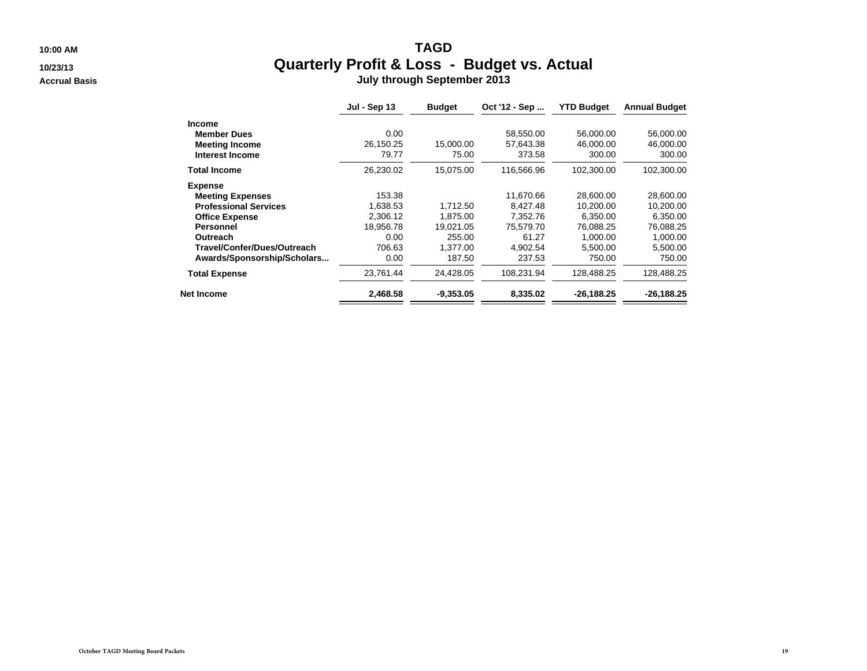**10:00 AM**

**10/23/13**

**Accrual Basis**

#### M **Quarterly Profit & Loss - Budget vs. Actual July through September 2013**

|                              | <b>Jul - Sep 13</b> | <b>Budget</b> | Oct '12 - Sep | <b>YTD Budget</b> | <b>Annual Budget</b> |
|------------------------------|---------------------|---------------|---------------|-------------------|----------------------|
| <b>Income</b>                |                     |               |               |                   |                      |
| <b>Member Dues</b>           | 0.00                |               | 58.550.00     | 56,000.00         | 56,000.00            |
| <b>Meeting Income</b>        | 26,150.25           | 15,000.00     | 57,643.38     | 46,000.00         | 46,000.00            |
| <b>Interest Income</b>       | 79.77               | 75.00         | 373.58        | 300.00            | 300.00               |
| <b>Total Income</b>          | 26,230.02           | 15,075.00     | 116,566.96    | 102,300.00        | 102,300.00           |
| <b>Expense</b>               |                     |               |               |                   |                      |
| <b>Meeting Expenses</b>      | 153.38              |               | 11.670.66     | 28,600.00         | 28,600.00            |
| <b>Professional Services</b> | 1,638.53            | 1.712.50      | 8.427.48      | 10,200.00         | 10,200.00            |
| <b>Office Expense</b>        | 2,306.12            | 1,875.00      | 7,352.76      | 6,350.00          | 6,350.00             |
| Personnel                    | 18,956.78           | 19.021.05     | 75.579.70     | 76.088.25         | 76,088.25            |
| Outreach                     | 0.00                | 255.00        | 61.27         | 1.000.00          | 1,000.00             |
| Travel/Confer/Dues/Outreach  | 706.63              | 1.377.00      | 4.902.54      | 5.500.00          | 5,500.00             |
| Awards/Sponsorship/Scholars  | 0.00                | 187.50        | 237.53        | 750.00            | 750.00               |
| <b>Total Expense</b>         | 23,761.44           | 24,428.05     | 108,231.94    | 128,488.25        | 128,488.25           |
| <b>Net Income</b>            | 2,468.58            | $-9,353.05$   | 8,335.02      | $-26,188.25$      | $-26,188.25$         |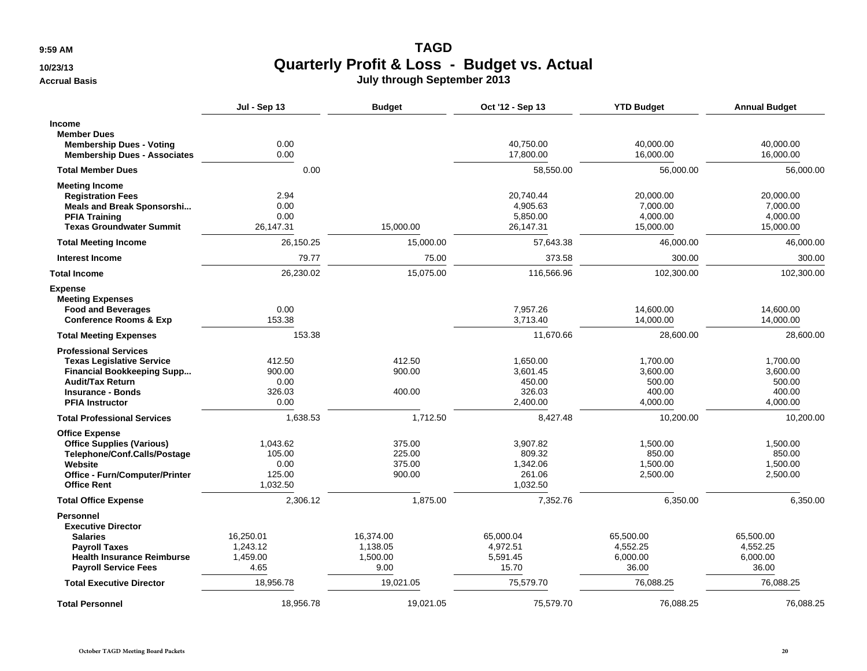**9:59 AM**

#### **10/23/13**

**Accrual Basis**

## **TAGD Quarterly Profit & Loss - Budget vs. Actual July through September 2013**

|                                                                                                                                                                                        | Jul - Sep 13                                     | <b>Budget</b>                             | Oct '12 - Sep 13                                     | <b>YTD Budget</b>                                    | <b>Annual Budget</b>                                 |
|----------------------------------------------------------------------------------------------------------------------------------------------------------------------------------------|--------------------------------------------------|-------------------------------------------|------------------------------------------------------|------------------------------------------------------|------------------------------------------------------|
| <b>Income</b><br><b>Member Dues</b><br><b>Membership Dues - Voting</b><br><b>Membership Dues - Associates</b>                                                                          | 0.00<br>0.00                                     |                                           | 40,750.00<br>17,800.00                               | 40,000.00<br>16,000.00                               | 40,000.00<br>16,000.00                               |
| <b>Total Member Dues</b>                                                                                                                                                               | 0.00                                             |                                           | 58.550.00                                            | 56,000.00                                            | 56,000.00                                            |
| <b>Meeting Income</b><br><b>Registration Fees</b><br><b>Meals and Break Sponsorshi</b><br><b>PFIA Training</b><br><b>Texas Groundwater Summit</b>                                      | 2.94<br>0.00<br>0.00<br>26,147.31                | 15,000.00                                 | 20,740.44<br>4,905.63<br>5,850.00<br>26,147.31       | 20,000.00<br>7,000.00<br>4,000.00<br>15,000.00       | 20,000.00<br>7,000.00<br>4,000.00<br>15,000.00       |
| <b>Total Meeting Income</b>                                                                                                                                                            | 26,150.25                                        | 15,000.00                                 | 57,643.38                                            | 46,000.00                                            | 46,000.00                                            |
| Interest Income                                                                                                                                                                        | 79.77                                            | 75.00                                     | 373.58                                               | 300.00                                               | 300.00                                               |
| <b>Total Income</b>                                                                                                                                                                    | 26,230.02                                        | 15,075.00                                 | 116,566.96                                           | 102,300.00                                           | 102,300.00                                           |
| <b>Expense</b><br><b>Meeting Expenses</b><br><b>Food and Beverages</b><br><b>Conference Rooms &amp; Exp</b>                                                                            | 0.00<br>153.38                                   |                                           | 7,957.26<br>3,713.40                                 | 14,600.00<br>14,000.00                               | 14,600.00<br>14,000.00                               |
| <b>Total Meeting Expenses</b>                                                                                                                                                          | 153.38                                           |                                           | 11,670.66                                            | 28,600.00                                            | 28,600.00                                            |
| <b>Professional Services</b><br><b>Texas Legislative Service</b><br><b>Financial Bookkeeping Supp</b><br><b>Audit/Tax Return</b><br><b>Insurance - Bonds</b><br><b>PFIA Instructor</b> | 412.50<br>900.00<br>0.00<br>326.03<br>0.00       | 412.50<br>900.00<br>400.00                | 1,650.00<br>3,601.45<br>450.00<br>326.03<br>2,400.00 | 1,700.00<br>3,600.00<br>500.00<br>400.00<br>4,000.00 | 1,700.00<br>3,600.00<br>500.00<br>400.00<br>4,000.00 |
| <b>Total Professional Services</b>                                                                                                                                                     | 1.638.53                                         | 1.712.50                                  | 8,427.48                                             | 10,200.00                                            | 10,200.00                                            |
| <b>Office Expense</b><br><b>Office Supplies (Various)</b><br>Telephone/Conf.Calls/Postage<br>Website<br>Office - Furn/Computer/Printer<br><b>Office Rent</b>                           | 1,043.62<br>105.00<br>0.00<br>125.00<br>1,032.50 | 375.00<br>225.00<br>375.00<br>900.00      | 3,907.82<br>809.32<br>1,342.06<br>261.06<br>1,032.50 | 1,500.00<br>850.00<br>1,500.00<br>2,500.00           | 1,500.00<br>850.00<br>1,500.00<br>2,500.00           |
| <b>Total Office Expense</b>                                                                                                                                                            | 2,306.12                                         | 1,875.00                                  | 7,352.76                                             | 6,350.00                                             | 6,350.00                                             |
| <b>Personnel</b><br><b>Executive Director</b><br><b>Salaries</b><br><b>Payroll Taxes</b><br><b>Health Insurance Reimburse</b><br><b>Payroll Service Fees</b>                           | 16,250.01<br>1,243.12<br>1,459.00<br>4.65        | 16,374.00<br>1,138.05<br>1,500.00<br>9.00 | 65,000.04<br>4,972.51<br>5,591.45<br>15.70           | 65,500.00<br>4,552.25<br>6,000.00<br>36.00           | 65,500.00<br>4,552.25<br>6,000.00<br>36.00           |
| <b>Total Executive Director</b>                                                                                                                                                        | 18,956.78                                        | 19,021.05                                 | 75,579.70                                            | 76,088.25                                            | 76,088.25                                            |
| <b>Total Personnel</b>                                                                                                                                                                 | 18,956.78                                        | 19.021.05                                 | 75,579.70                                            | 76,088.25                                            | 76.088.25                                            |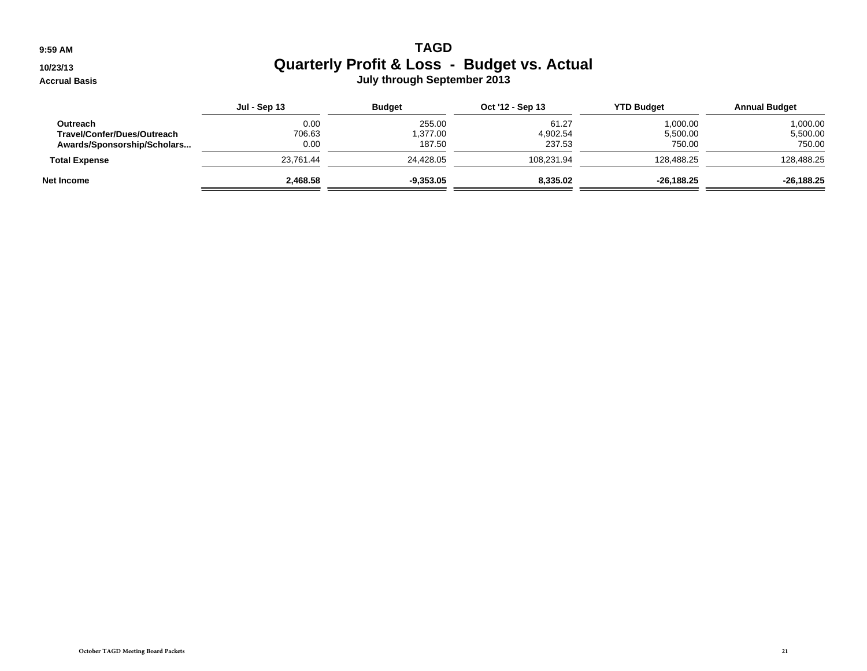**9:59 AM**

**10/23/13**

**Accrual Basis**

### M **Quarterly Profit & Loss - Budget vs. Actual July through September 2013**

|                             | <b>Jul - Sep 13</b> | <b>Budget</b> | Oct '12 - Sep 13 | <b>YTD Budget</b> | <b>Annual Budget</b> |
|-----------------------------|---------------------|---------------|------------------|-------------------|----------------------|
| Outreach                    | 0.00                | 255.00        | 61.27            | 1,000.00          | 1,000.00             |
| Travel/Confer/Dues/Outreach | 706.63              | 1.377.00      | 4,902.54         | 5,500.00          | 5,500.00             |
| Awards/Sponsorship/Scholars | 0.00                | 187.50        | 237.53           | 750.00            | 750.00               |
| <b>Total Expense</b>        | 23.761.44           | 24,428.05     | 108,231.94       | 128,488.25        | 128,488.25           |
| Net Income                  | 2,468.58            | $-9,353.05$   | 8,335.02         | $-26,188.25$      | $-26,188.25$         |
|                             |                     |               |                  |                   |                      |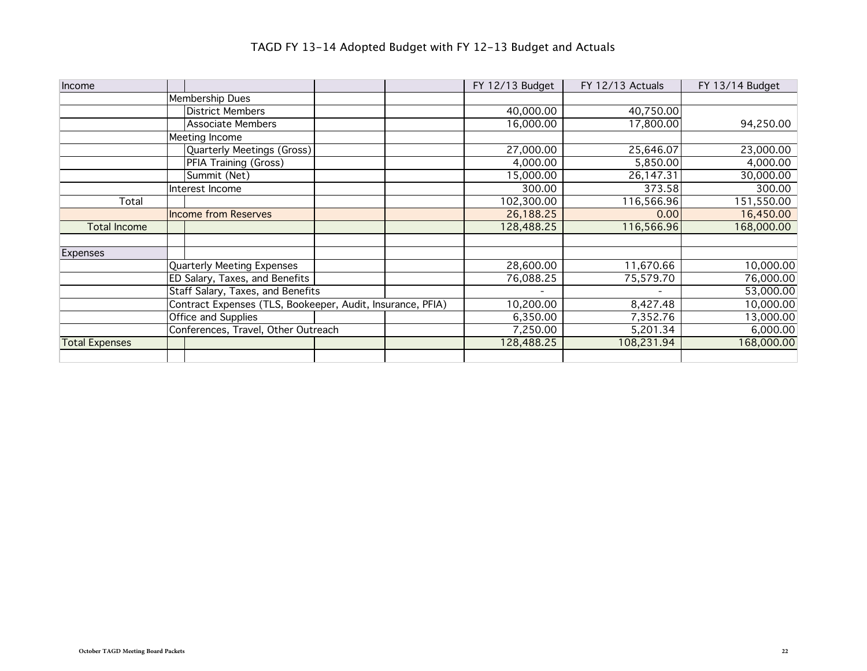| Income                |                                                            |  | FY 12/13 Budget | FY 12/13 Actuals         | FY 13/14 Budget |
|-----------------------|------------------------------------------------------------|--|-----------------|--------------------------|-----------------|
|                       | Membership Dues                                            |  |                 |                          |                 |
|                       | <b>District Members</b>                                    |  | 40,000.00       | 40,750.00                |                 |
|                       | Associate Members                                          |  | 16,000.00       | 17,800.00                | 94,250.00       |
|                       | Meeting Income                                             |  |                 |                          |                 |
|                       | Quarterly Meetings (Gross)                                 |  | 27,000.00       | 25,646.07                | 23,000.00       |
|                       | PFIA Training (Gross)                                      |  | 4,000.00        | 5,850.00                 | 4,000.00        |
|                       | Summit (Net)                                               |  | 15,000.00       | 26,147.31                | 30,000.00       |
|                       | Interest Income                                            |  | 300.00          | 373.58                   | 300.00          |
| Total                 |                                                            |  | 102,300.00      | 116,566.96               | 151,550.00      |
|                       | <b>Income from Reserves</b>                                |  | 26,188.25       | 0.00                     | 16,450.00       |
| <b>Total Income</b>   |                                                            |  | 128,488.25      | 116,566.96               | 168,000.00      |
|                       |                                                            |  |                 |                          |                 |
| Expenses              |                                                            |  |                 |                          |                 |
|                       | <b>Quarterly Meeting Expenses</b>                          |  | 28,600.00       | 11,670.66                | 10,000.00       |
|                       | ED Salary, Taxes, and Benefits                             |  | 76,088.25       | 75,579.70                | 76,000.00       |
|                       | Staff Salary, Taxes, and Benefits                          |  | $\blacksquare$  | $\overline{\phantom{a}}$ | 53,000.00       |
|                       | Contract Expenses (TLS, Bookeeper, Audit, Insurance, PFIA) |  | 10,200.00       | 8,427.48                 | 10,000.00       |
|                       | Office and Supplies                                        |  | 6,350.00        | 7,352.76                 | 13,000.00       |
|                       | Conferences, Travel, Other Outreach                        |  | 7,250.00        | 5,201.34                 | 6,000.00        |
| <b>Total Expenses</b> |                                                            |  | 128,488.25      | 108,231.94               | 168,000.00      |
|                       |                                                            |  |                 |                          |                 |

# TAGD FY 13-14 Adopted Budget with FY 12-13 Budget and Actuals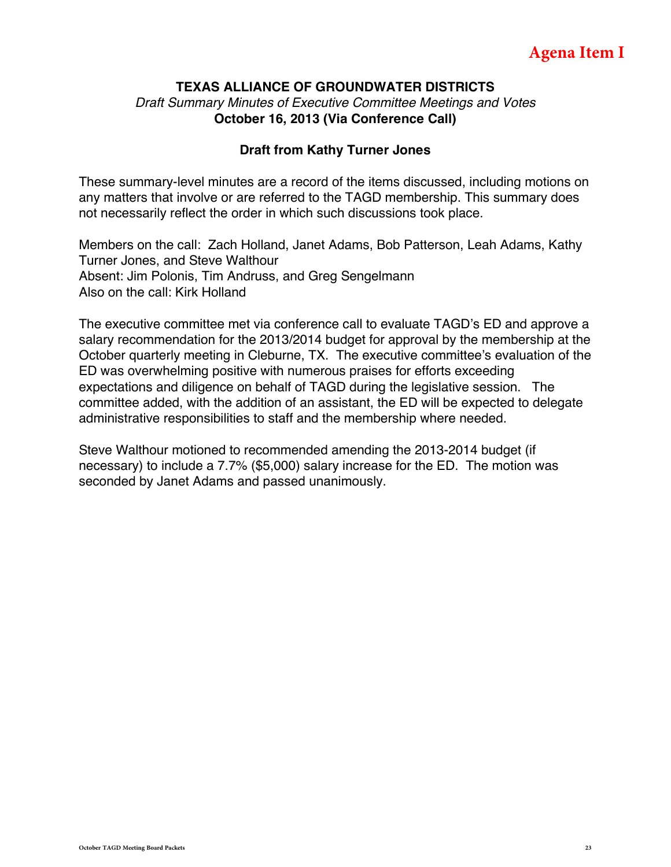#### **TEXAS ALLIANCE OF GROUNDWATER DISTRICTS** *Draft Summary Minutes of Executive Committee Meetings and Votes* **October 16, 2013 (Via Conference Call)**

#### **Draft from Kathy Turner Jones**

These summary-level minutes are a record of the items discussed, including motions on any matters that involve or are referred to the TAGD membership. This summary does not necessarily reflect the order in which such discussions took place.

Members on the call: Zach Holland, Janet Adams, Bob Patterson, Leah Adams, Kathy Turner Jones, and Steve Walthour Absent: Jim Polonis, Tim Andruss, and Greg Sengelmann Also on the call: Kirk Holland

The executive committee met via conference call to evaluate TAGD's ED and approve a salary recommendation for the 2013/2014 budget for approval by the membership at the October quarterly meeting in Cleburne, TX. The executive committee's evaluation of the ED was overwhelming positive with numerous praises for efforts exceeding expectations and diligence on behalf of TAGD during the legislative session. The committee added, with the addition of an assistant, the ED will be expected to delegate administrative responsibilities to staff and the membership where needed.

Steve Walthour motioned to recommended amending the 2013-2014 budget (if necessary) to include a 7.7% (\$5,000) salary increase for the ED. The motion was seconded by Janet Adams and passed unanimously.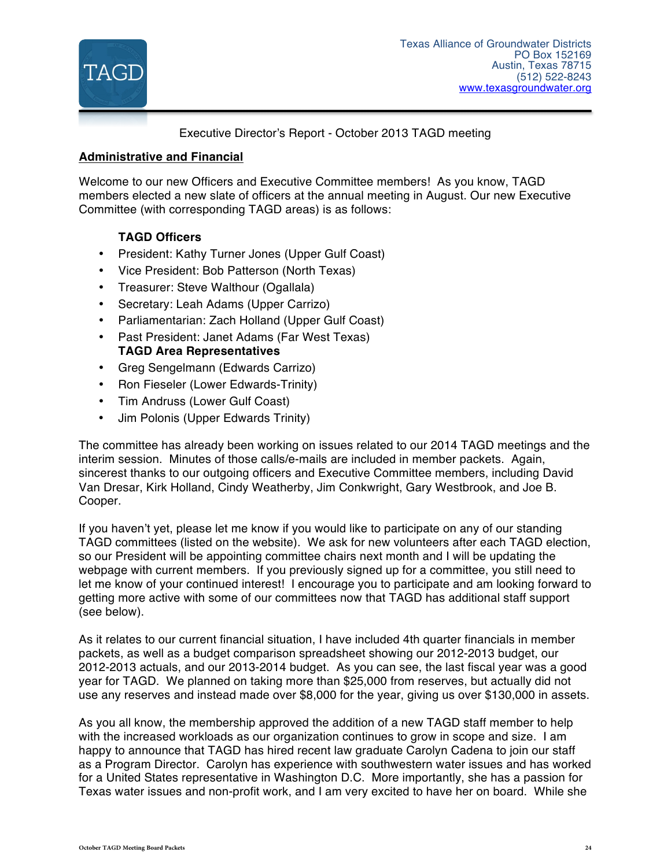

Executive Director's Report - October 2013 TAGD meeting

#### **Administrative and Financial**

Welcome to our new Officers and Executive Committee members! As you know, TAGD members elected a new slate of officers at the annual meeting in August. Our new Executive Committee (with corresponding TAGD areas) is as follows:

#### **TAGD Officers**

- President: Kathy Turner Jones (Upper Gulf Coast)
- Vice President: Bob Patterson (North Texas)
- Treasurer: Steve Walthour (Ogallala)
- Secretary: Leah Adams (Upper Carrizo)
- Parliamentarian: Zach Holland (Upper Gulf Coast)
- Past President: Janet Adams (Far West Texas) **TAGD Area Representatives**
- Greg Sengelmann (Edwards Carrizo)
- Ron Fieseler (Lower Edwards-Trinity)
- Tim Andruss (Lower Gulf Coast)
- Jim Polonis (Upper Edwards Trinity)

The committee has already been working on issues related to our 2014 TAGD meetings and the interim session. Minutes of those calls/e-mails are included in member packets. Again, sincerest thanks to our outgoing officers and Executive Committee members, including David Van Dresar, Kirk Holland, Cindy Weatherby, Jim Conkwright, Gary Westbrook, and Joe B. Cooper.

If you haven't yet, please let me know if you would like to participate on any of our standing TAGD committees (listed on the website). We ask for new volunteers after each TAGD election, so our President will be appointing committee chairs next month and I will be updating the webpage with current members. If you previously signed up for a committee, you still need to let me know of your continued interest! I encourage you to participate and am looking forward to getting more active with some of our committees now that TAGD has additional staff support (see below).

As it relates to our current financial situation, I have included 4th quarter financials in member packets, as well as a budget comparison spreadsheet showing our 2012-2013 budget, our 2012-2013 actuals, and our 2013-2014 budget. As you can see, the last fiscal year was a good year for TAGD. We planned on taking more than \$25,000 from reserves, but actually did not use any reserves and instead made over \$8,000 for the year, giving us over \$130,000 in assets.

As you all know, the membership approved the addition of a new TAGD staff member to help with the increased workloads as our organization continues to grow in scope and size. I am happy to announce that TAGD has hired recent law graduate Carolyn Cadena to join our staff as a Program Director. Carolyn has experience with southwestern water issues and has worked for a United States representative in Washington D.C. More importantly, she has a passion for Texas water issues and non-profit work, and I am very excited to have her on board. While she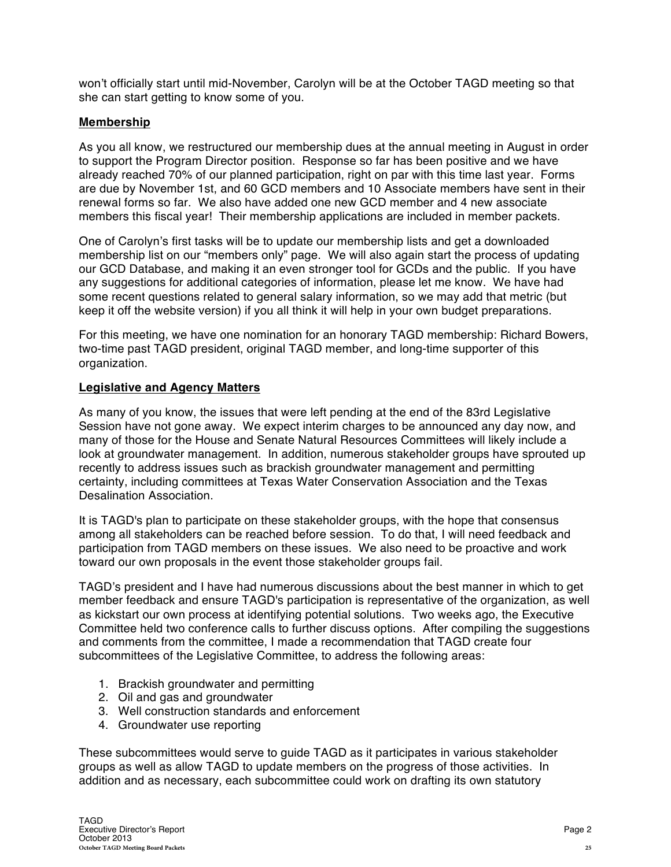won't officially start until mid-November, Carolyn will be at the October TAGD meeting so that she can start getting to know some of you.

#### **Membership**

As you all know, we restructured our membership dues at the annual meeting in August in order to support the Program Director position. Response so far has been positive and we have already reached 70% of our planned participation, right on par with this time last year. Forms are due by November 1st, and 60 GCD members and 10 Associate members have sent in their renewal forms so far. We also have added one new GCD member and 4 new associate members this fiscal year! Their membership applications are included in member packets.

One of Carolyn's first tasks will be to update our membership lists and get a downloaded membership list on our "members only" page. We will also again start the process of updating our GCD Database, and making it an even stronger tool for GCDs and the public. If you have any suggestions for additional categories of information, please let me know. We have had some recent questions related to general salary information, so we may add that metric (but keep it off the website version) if you all think it will help in your own budget preparations.

For this meeting, we have one nomination for an honorary TAGD membership: Richard Bowers, two-time past TAGD president, original TAGD member, and long-time supporter of this organization.

#### **Legislative and Agency Matters**

As many of you know, the issues that were left pending at the end of the 83rd Legislative Session have not gone away. We expect interim charges to be announced any day now, and many of those for the House and Senate Natural Resources Committees will likely include a look at groundwater management. In addition, numerous stakeholder groups have sprouted up recently to address issues such as brackish groundwater management and permitting certainty, including committees at Texas Water Conservation Association and the Texas Desalination Association.

It is TAGD's plan to participate on these stakeholder groups, with the hope that consensus among all stakeholders can be reached before session. To do that, I will need feedback and participation from TAGD members on these issues. We also need to be proactive and work toward our own proposals in the event those stakeholder groups fail.

TAGD's president and I have had numerous discussions about the best manner in which to get member feedback and ensure TAGD's participation is representative of the organization, as well as kickstart our own process at identifying potential solutions. Two weeks ago, the Executive Committee held two conference calls to further discuss options. After compiling the suggestions and comments from the committee, I made a recommendation that TAGD create four subcommittees of the Legislative Committee, to address the following areas:

- 1. Brackish groundwater and permitting
- 2. Oil and gas and groundwater
- 3. Well construction standards and enforcement
- 4. Groundwater use reporting

These subcommittees would serve to guide TAGD as it participates in various stakeholder groups as well as allow TAGD to update members on the progress of those activities. In addition and as necessary, each subcommittee could work on drafting its own statutory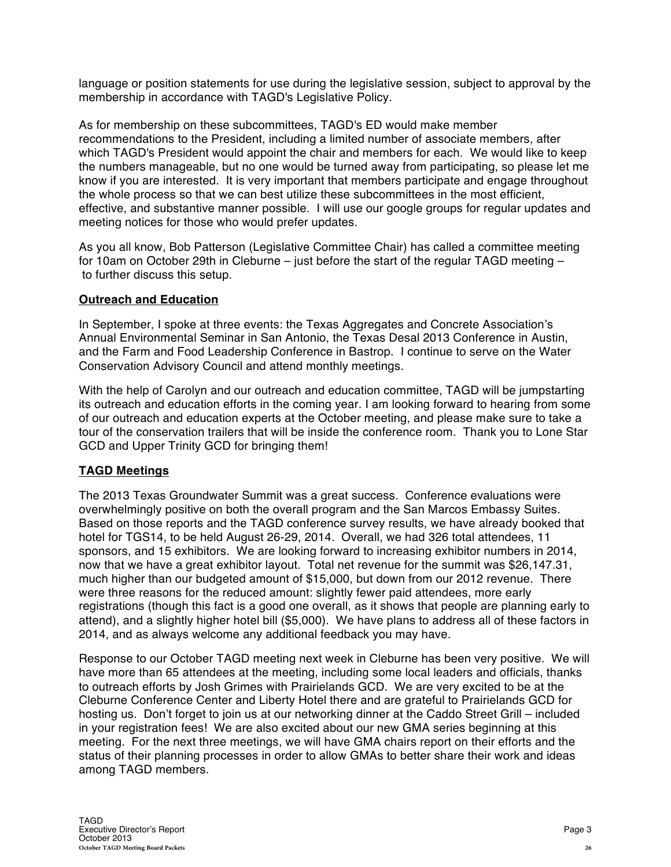language or position statements for use during the legislative session, subject to approval by the membership in accordance with TAGD's Legislative Policy.

As for membership on these subcommittees, TAGD's ED would make member recommendations to the President, including a limited number of associate members, after which TAGD's President would appoint the chair and members for each. We would like to keep the numbers manageable, but no one would be turned away from participating, so please let me know if you are interested. It is very important that members participate and engage throughout the whole process so that we can best utilize these subcommittees in the most efficient, effective, and substantive manner possible. I will use our google groups for regular updates and meeting notices for those who would prefer updates.

As you all know, Bob Patterson (Legislative Committee Chair) has called a committee meeting for 10am on October 29th in Cleburne – just before the start of the regular TAGD meeting – to further discuss this setup.

#### **Outreach and Education**

In September, I spoke at three events: the Texas Aggregates and Concrete Association's Annual Environmental Seminar in San Antonio, the Texas Desal 2013 Conference in Austin, and the Farm and Food Leadership Conference in Bastrop. I continue to serve on the Water Conservation Advisory Council and attend monthly meetings.

With the help of Carolyn and our outreach and education committee, TAGD will be jumpstarting its outreach and education efforts in the coming year. I am looking forward to hearing from some of our outreach and education experts at the October meeting, and please make sure to take a tour of the conservation trailers that will be inside the conference room. Thank you to Lone Star GCD and Upper Trinity GCD for bringing them!

#### **TAGD Meetings**

The 2013 Texas Groundwater Summit was a great success. Conference evaluations were overwhelmingly positive on both the overall program and the San Marcos Embassy Suites. Based on those reports and the TAGD conference survey results, we have already booked that hotel for TGS14, to be held August 26-29, 2014. Overall, we had 326 total attendees, 11 sponsors, and 15 exhibitors. We are looking forward to increasing exhibitor numbers in 2014, now that we have a great exhibitor layout. Total net revenue for the summit was \$26,147.31, much higher than our budgeted amount of \$15,000, but down from our 2012 revenue. There were three reasons for the reduced amount: slightly fewer paid attendees, more early registrations (though this fact is a good one overall, as it shows that people are planning early to attend), and a slightly higher hotel bill (\$5,000). We have plans to address all of these factors in 2014, and as always welcome any additional feedback you may have.

Response to our October TAGD meeting next week in Cleburne has been very positive. We will have more than 65 attendees at the meeting, including some local leaders and officials, thanks to outreach efforts by Josh Grimes with Prairielands GCD. We are very excited to be at the Cleburne Conference Center and Liberty Hotel there and are grateful to Prairielands GCD for hosting us. Don't forget to join us at our networking dinner at the Caddo Street Grill – included in your registration fees! We are also excited about our new GMA series beginning at this meeting. For the next three meetings, we will have GMA chairs report on their efforts and the status of their planning processes in order to allow GMAs to better share their work and ideas among TAGD members.